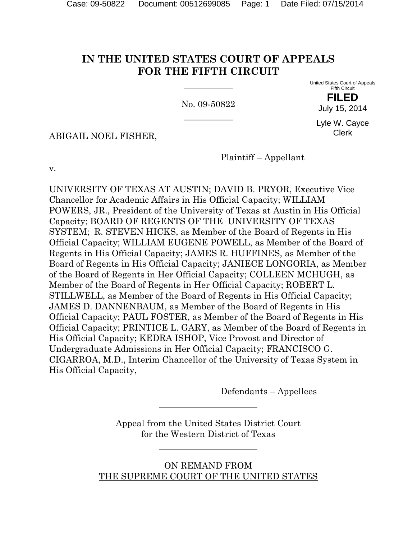# **IN THE UNITED STATES COURT OF APPEALS FOR THE FIFTH CIRCUIT**

No. 09-50822

United States Court of Appeals Fifth Circuit

> **FILED** July 15, 2014

Lyle W. Cayce Clerk

ABIGAIL NOEL FISHER,

Plaintiff – Appellant

v.

UNIVERSITY OF TEXAS AT AUSTIN; DAVID B. PRYOR, Executive Vice Chancellor for Academic Affairs in His Official Capacity; WILLIAM POWERS, JR., President of the University of Texas at Austin in His Official Capacity; BOARD OF REGENTS OF THE UNIVERSITY OF TEXAS SYSTEM; R. STEVEN HICKS, as Member of the Board of Regents in His Official Capacity; WILLIAM EUGENE POWELL, as Member of the Board of Regents in His Official Capacity; JAMES R. HUFFINES, as Member of the Board of Regents in His Official Capacity; JANIECE LONGORIA, as Member of the Board of Regents in Her Official Capacity; COLLEEN MCHUGH, as Member of the Board of Regents in Her Official Capacity; ROBERT L. STILLWELL, as Member of the Board of Regents in His Official Capacity; JAMES D. DANNENBAUM, as Member of the Board of Regents in His Official Capacity; PAUL FOSTER, as Member of the Board of Regents in His Official Capacity; PRINTICE L. GARY, as Member of the Board of Regents in His Official Capacity; KEDRA ISHOP, Vice Provost and Director of Undergraduate Admissions in Her Official Capacity; FRANCISCO G. CIGARROA, M.D., Interim Chancellor of the University of Texas System in His Official Capacity,

Defendants – Appellees

Appeal from the United States District Court for the Western District of Texas

ON REMAND FROM THE SUPREME COURT OF THE UNITED STATES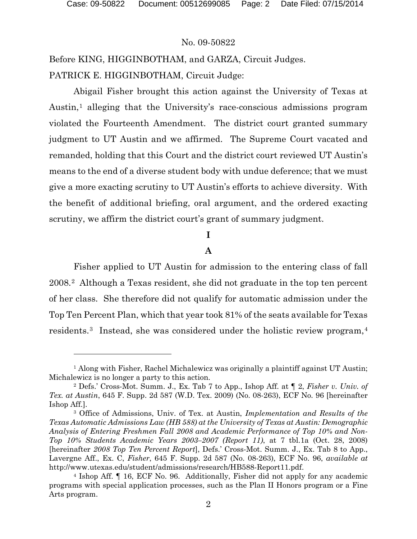$\overline{a}$ 

#### No. 09-50822

Before KING, HIGGINBOTHAM, and GARZA, Circuit Judges. PATRICK E. HIGGINBOTHAM, Circuit Judge:

Abigail Fisher brought this action against the University of Texas at Austin,<sup>[1](#page-1-0)</sup> alleging that the University's race-conscious admissions program violated the Fourteenth Amendment. The district court granted summary judgment to UT Austin and we affirmed. The Supreme Court vacated and remanded, holding that this Court and the district court reviewed UT Austin's means to the end of a diverse student body with undue deference; that we must give a more exacting scrutiny to UT Austin's efforts to achieve diversity. With the benefit of additional briefing, oral argument, and the ordered exacting scrutiny, we affirm the district court's grant of summary judgment.

# **I**

# **A**

Fisher applied to UT Austin for admission to the entering class of fall 2008.[2](#page-1-1) Although a Texas resident, she did not graduate in the top ten percent of her class. She therefore did not qualify for automatic admission under the Top Ten Percent Plan, which that year took 81% of the seats available for Texas residents.<sup>[3](#page-1-2)</sup> Instead, she was considered under the holistic review program,<sup>[4](#page-1-3)</sup>

<span id="page-1-0"></span><sup>&</sup>lt;sup>1</sup> Along with Fisher, Rachel Michalewicz was originally a plaintiff against UT Austin; Michalewicz is no longer a party to this action.

<span id="page-1-1"></span><sup>2</sup> Defs.' Cross-Mot. Summ. J., Ex. Tab 7 to App., Ishop Aff. at ¶ 2, *Fisher v. Univ. of Tex. at Austin*, 645 F. Supp. 2d 587 (W.D. Tex. 2009) (No. 08-263), ECF No. 96 [hereinafter Ishop Aff.]. 3 Office of Admissions, Univ. of Tex. at Austin, *Implementation and Results of the* 

<span id="page-1-2"></span>*Texas Automatic Admissions Law (HB 588) at the University of Texas at Austin: Demographic Analysis of Entering Freshmen Fall 2008 and Academic Performance of Top 10% and Non-Top 10% Students Academic Years 2003–2007 (Report 11)*, at 7 tbl.1a (Oct. 28, 2008) [hereinafter *2008 Top Ten Percent Report*], Defs.' Cross-Mot. Summ. J., Ex. Tab 8 to App., Lavergne Aff., Ex. C, *Fisher*, 645 F. Supp. 2d 587 (No. 08-263), ECF No. 96, *available at* http://www.utexas.edu/student/admissions/research/HB588-Report11.pdf.

<span id="page-1-3"></span><sup>4</sup> Ishop Aff. ¶ 16, ECF No. 96. Additionally, Fisher did not apply for any academic programs with special application processes, such as the Plan II Honors program or a Fine Arts program.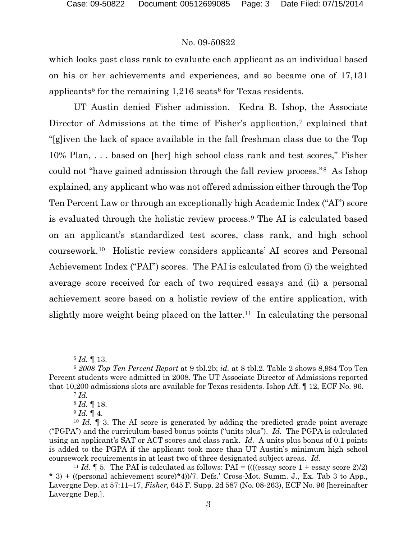which looks past class rank to evaluate each applicant as an individual based on his or her achievements and experiences, and so became one of 17,131 applicants<sup>[5](#page-2-0)</sup> for the remaining  $1,216$  $1,216$  seats<sup>6</sup> for Texas residents.

UT Austin denied Fisher admission. Kedra B. Ishop, the Associate Director of Admissions at the time of Fisher's application,<sup>[7](#page-2-2)</sup> explained that "[g]iven the lack of space available in the fall freshman class due to the Top 10% Plan, . . . based on [her] high school class rank and test scores," Fisher could not "have gained admission through the fall review process."[8](#page-2-3) As Ishop explained, any applicant who was not offered admission either through the Top Ten Percent Law or through an exceptionally high Academic Index ("AI") score is evaluated through the holistic review process.[9](#page-2-4) The AI is calculated based on an applicant's standardized test scores, class rank, and high school coursework.[10](#page-2-5) Holistic review considers applicants' AI scores and Personal Achievement Index ("PAI") scores. The PAI is calculated from (i) the weighted average score received for each of two required essays and (ii) a personal achievement score based on a holistic review of the entire application, with slightly more weight being placed on the latter.<sup>[11](#page-2-6)</sup> In calculating the personal

l

<sup>5</sup> *Id.* ¶ 13.

<span id="page-2-2"></span><span id="page-2-1"></span><span id="page-2-0"></span><sup>6</sup> *2008 Top Ten Percent Report* at 9 tbl.2b; *id.* at 8 tbl.2. Table 2 shows 8,984 Top Ten Percent students were admitted in 2008. The UT Associate Director of Admissions reported that 10,200 admissions slots are available for Texas residents. Ishop Aff. ¶ 12, ECF No. 96.

<sup>7</sup> *Id.*

<sup>8</sup> *Id.* ¶ 18.

 $9$  *Id.*  $\llbracket 4.$ 

<span id="page-2-5"></span><span id="page-2-4"></span><span id="page-2-3"></span><sup>10</sup> *Id.* ¶ 3. The AI score is generated by adding the predicted grade point average ("PGPA") and the curriculum-based bonus points ("units plus"). *Id.* The PGPA is calculated using an applicant's SAT or ACT scores and class rank. *Id.* A units plus bonus of 0.1 points is added to the PGPA if the applicant took more than UT Austin's minimum high school coursework requirements in at least two of three designated subject areas. *Id.* <sup>11</sup> *Id.* ¶ 5. The PAI is calculated as follows: PAI = ((((essay score 1 + essay score 2)/2)

<span id="page-2-6"></span><sup>\* 3) + ((</sup>personal achievement score)\*4))/7. Defs.' Cross-Mot. Summ. J., Ex. Tab 3 to App., Lavergne Dep. at 57:11–17, *Fisher*, 645 F. Supp. 2d 587 (No. 08-263), ECF No. 96 [hereinafter Lavergne Dep.].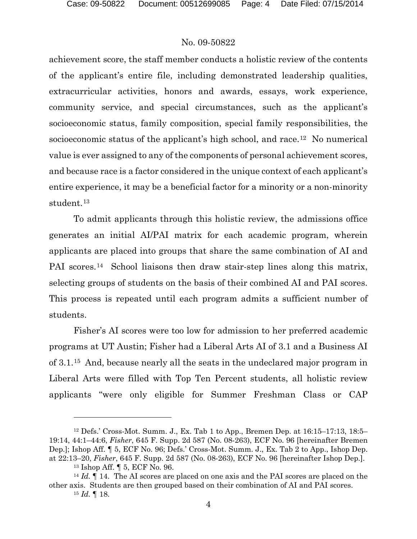achievement score, the staff member conducts a holistic review of the contents of the applicant's entire file, including demonstrated leadership qualities, extracurricular activities, honors and awards, essays, work experience, community service, and special circumstances, such as the applicant's socioeconomic status, family composition, special family responsibilities, the socioeconomic status of the applicant's high school, and race.[12](#page-3-0) No numerical value is ever assigned to any of the components of personal achievement scores, and because race is a factor considered in the unique context of each applicant's entire experience, it may be a beneficial factor for a minority or a non-minority student.[13](#page-3-1) 

To admit applicants through this holistic review, the admissions office generates an initial AI/PAI matrix for each academic program, wherein applicants are placed into groups that share the same combination of AI and PAI scores.<sup>[14](#page-3-2)</sup> School liaisons then draw stair-step lines along this matrix, selecting groups of students on the basis of their combined AI and PAI scores. This process is repeated until each program admits a sufficient number of students.

Fisher's AI scores were too low for admission to her preferred academic programs at UT Austin; Fisher had a Liberal Arts AI of 3.1 and a Business AI of 3.1.[15](#page-3-3) And, because nearly all the seats in the undeclared major program in Liberal Arts were filled with Top Ten Percent students, all holistic review applicants "were only eligible for Summer Freshman Class or CAP

<span id="page-3-0"></span><sup>12</sup> Defs.' Cross-Mot. Summ. J., Ex. Tab 1 to App., Bremen Dep. at 16:15–17:13, 18:5– 19:14, 44:1–44:6, *Fisher*, 645 F. Supp. 2d 587 (No. 08-263), ECF No. 96 [hereinafter Bremen Dep.]; Ishop Aff. ¶ 5, ECF No. 96; Defs.' Cross-Mot. Summ. J., Ex. Tab 2 to App., Ishop Dep. at 22:13–20, *Fisher*, 645 F. Supp. 2d 587 (No. 08-263), ECF No. 96 [hereinafter Ishop Dep.].

<sup>13</sup> Ishop Aff. ¶ 5, ECF No. 96.

<span id="page-3-3"></span><span id="page-3-2"></span><span id="page-3-1"></span><sup>14</sup> *Id.* ¶ 14. The AI scores are placed on one axis and the PAI scores are placed on the other axis. Students are then grouped based on their combination of AI and PAI scores.

<sup>15</sup> *Id.* ¶ 18.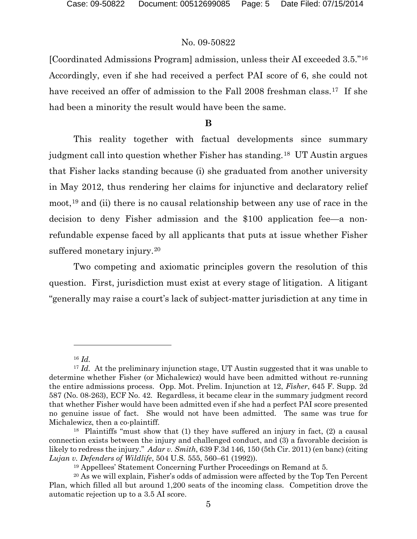[Coordinated Admissions Program] admission, unless their AI exceeded 3.5."[16](#page-4-0) Accordingly, even if she had received a perfect PAI score of 6, she could not have received an offer of admission to the Fall 2008 freshman class.<sup>17</sup> If she had been a minority the result would have been the same.

# **B**

This reality together with factual developments since summary judgment call into question whether Fisher has standing.[18](#page-4-2) UT Austin argues that Fisher lacks standing because (i) she graduated from another university in May 2012, thus rendering her claims for injunctive and declaratory relief moot,[19](#page-4-3) and (ii) there is no causal relationship between any use of race in the decision to deny Fisher admission and the \$100 application fee—a nonrefundable expense faced by all applicants that puts at issue whether Fisher suffered monetary injury.<sup>[20](#page-4-4)</sup>

Two competing and axiomatic principles govern the resolution of this question. First, jurisdiction must exist at every stage of litigation. A litigant "generally may raise a court's lack of subject-matter jurisdiction at any time in

l

<sup>16</sup> *Id.*

<span id="page-4-1"></span><span id="page-4-0"></span><sup>&</sup>lt;sup>17</sup> *Id.* At the preliminary injunction stage, UT Austin suggested that it was unable to determine whether Fisher (or Michalewicz) would have been admitted without re-running the entire admissions process. Opp. Mot. Prelim. Injunction at 12, *Fisher*, 645 F. Supp. 2d 587 (No. 08-263), ECF No. 42. Regardless, it became clear in the summary judgment record that whether Fisher would have been admitted even if she had a perfect PAI score presented no genuine issue of fact. She would not have been admitted. The same was true for Michalewicz, then a co-plaintiff.

<span id="page-4-2"></span><sup>18</sup> Plaintiffs "must show that (1) they have suffered an injury in fact, (2) a causal connection exists between the injury and challenged conduct, and (3) a favorable decision is likely to redress the injury." *Adar v. Smith*, 639 F.3d 146, 150 (5th Cir. 2011) (en banc) (citing *Lujan v. Defenders of Wildlife*, 504 U.S. 555, 560–61 (1992)).

<sup>19</sup> Appellees' Statement Concerning Further Proceedings on Remand at 5.

<span id="page-4-4"></span><span id="page-4-3"></span><sup>&</sup>lt;sup>20</sup> As we will explain, Fisher's odds of admission were affected by the Top Ten Percent Plan, which filled all but around 1,200 seats of the incoming class. Competition drove the automatic rejection up to a 3.5 AI score.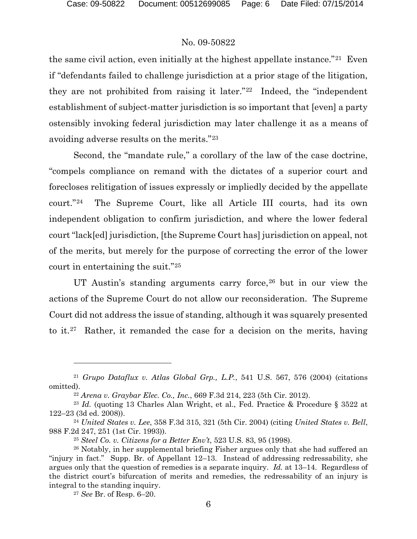the same civil action, even initially at the highest appellate instance."[21](#page-5-0) Even if "defendants failed to challenge jurisdiction at a prior stage of the litigation, they are not prohibited from raising it later."[22](#page-5-1) Indeed, the "independent establishment of subject-matter jurisdiction is so important that [even] a party ostensibly invoking federal jurisdiction may later challenge it as a means of avoiding adverse results on the merits."[23](#page-5-2)

Second, the "mandate rule," a corollary of the law of the case doctrine, "compels compliance on remand with the dictates of a superior court and forecloses relitigation of issues expressly or impliedly decided by the appellate court."[24](#page-5-3) The Supreme Court, like all Article III courts, had its own independent obligation to confirm jurisdiction, and where the lower federal court "lack[ed] jurisdiction, [the Supreme Court has] jurisdiction on appeal, not of the merits, but merely for the purpose of correcting the error of the lower court in entertaining the suit."[25](#page-5-4)

UT Austin's standing arguments carry force,<sup>[26](#page-5-5)</sup> but in our view the actions of the Supreme Court do not allow our reconsideration. The Supreme Court did not address the issue of standing, although it was squarely presented to it.[27](#page-5-6) Rather, it remanded the case for a decision on the merits, having

<sup>27</sup> *See* Br. of Resp. 6–20.

<span id="page-5-0"></span><sup>21</sup> *Grupo Dataflux v. Atlas Global Grp., L.P.*, 541 U.S. 567, 576 (2004) (citations omitted).

<sup>22</sup> *Arena v. Graybar Elec. Co., Inc.*, 669 F.3d 214, 223 (5th Cir. 2012).

<span id="page-5-2"></span><span id="page-5-1"></span><sup>23</sup> *Id.* (quoting 13 Charles Alan Wright, et al., Fed. Practice & Procedure § 3522 at 122–23 (3d ed. 2008)).

<span id="page-5-3"></span><sup>24</sup> *United States v. Lee*, 358 F.3d 315, 321 (5th Cir. 2004) (citing *United States v. Bell*, 988 F.2d 247, 251 (1st Cir. 1993)).

<sup>25</sup> *Steel Co. v. Citizens for a Better Env't*, 523 U.S. 83, 95 (1998).

<span id="page-5-6"></span><span id="page-5-5"></span><span id="page-5-4"></span><sup>26</sup> Notably, in her supplemental briefing Fisher argues only that she had suffered an "injury in fact." Supp. Br. of Appellant 12–13. Instead of addressing redressability, she argues only that the question of remedies is a separate inquiry. *Id.* at 13–14. Regardless of the district court's bifurcation of merits and remedies, the redressability of an injury is integral to the standing inquiry.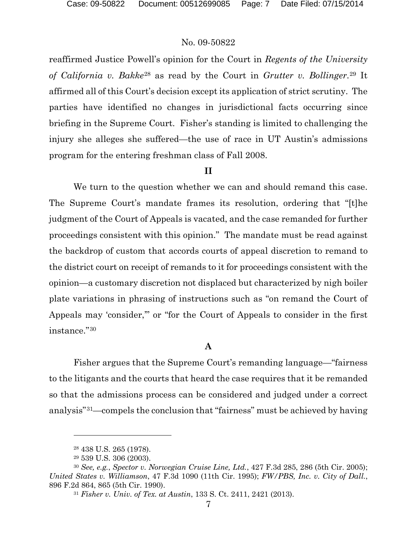reaffirmed Justice Powell's opinion for the Court in *Regents of the University of California v. Bakke*[28](#page-6-0) as read by the Court in *Grutter v. Bollinger*.[29](#page-6-1) It affirmed all of this Court's decision except its application of strict scrutiny. The parties have identified no changes in jurisdictional facts occurring since briefing in the Supreme Court. Fisher's standing is limited to challenging the injury she alleges she suffered—the use of race in UT Austin's admissions program for the entering freshman class of Fall 2008.

#### **II**

We turn to the question whether we can and should remand this case. The Supreme Court's mandate frames its resolution, ordering that "[t]he judgment of the Court of Appeals is vacated, and the case remanded for further proceedings consistent with this opinion." The mandate must be read against the backdrop of custom that accords courts of appeal discretion to remand to the district court on receipt of remands to it for proceedings consistent with the opinion—a customary discretion not displaced but characterized by nigh boiler plate variations in phrasing of instructions such as "on remand the Court of Appeals may 'consider,'" or "for the Court of Appeals to consider in the first instance."[30](#page-6-2)

# **A**

Fisher argues that the Supreme Court's remanding language—"fairness to the litigants and the courts that heard the case requires that it be remanded so that the admissions process can be considered and judged under a correct analysis"[31—](#page-6-3)compels the conclusion that "fairness" must be achieved by having

<sup>28</sup> 438 U.S. 265 (1978).

<sup>29</sup> 539 U.S. 306 (2003).

<span id="page-6-3"></span><span id="page-6-2"></span><span id="page-6-1"></span><span id="page-6-0"></span><sup>30</sup> *See, e.g.*, *Spector v. Norwegian Cruise Line, Ltd.*, 427 F.3d 285, 286 (5th Cir. 2005); *United States v. Williamson*, 47 F.3d 1090 (11th Cir. 1995); *FW/PBS, Inc. v. City of Dall.*, 896 F.2d 864, 865 (5th Cir. 1990).

<sup>31</sup> *Fisher v. Univ. of Tex. at Austin*, 133 S. Ct. 2411, 2421 (2013).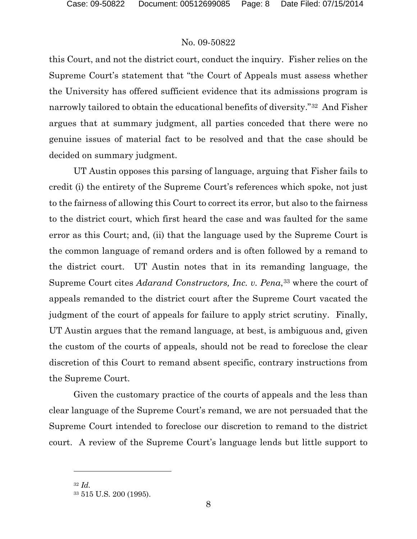this Court, and not the district court, conduct the inquiry. Fisher relies on the Supreme Court's statement that "the Court of Appeals must assess whether the University has offered sufficient evidence that its admissions program is narrowly tailored to obtain the educational benefits of diversity."[32](#page-7-0) And Fisher argues that at summary judgment, all parties conceded that there were no genuine issues of material fact to be resolved and that the case should be decided on summary judgment.

UT Austin opposes this parsing of language, arguing that Fisher fails to credit (i) the entirety of the Supreme Court's references which spoke, not just to the fairness of allowing this Court to correct its error, but also to the fairness to the district court, which first heard the case and was faulted for the same error as this Court; and, (ii) that the language used by the Supreme Court is the common language of remand orders and is often followed by a remand to the district court. UT Austin notes that in its remanding language, the Supreme Court cites *Adarand Constructors, Inc. v. Pena*,<sup>[33](#page-7-1)</sup> where the court of appeals remanded to the district court after the Supreme Court vacated the judgment of the court of appeals for failure to apply strict scrutiny. Finally, UT Austin argues that the remand language, at best, is ambiguous and, given the custom of the courts of appeals, should not be read to foreclose the clear discretion of this Court to remand absent specific, contrary instructions from the Supreme Court.

Given the customary practice of the courts of appeals and the less than clear language of the Supreme Court's remand, we are not persuaded that the Supreme Court intended to foreclose our discretion to remand to the district court. A review of the Supreme Court's language lends but little support to

l

<span id="page-7-0"></span><sup>32</sup> *Id.*

<span id="page-7-1"></span><sup>33</sup> 515 U.S. 200 (1995).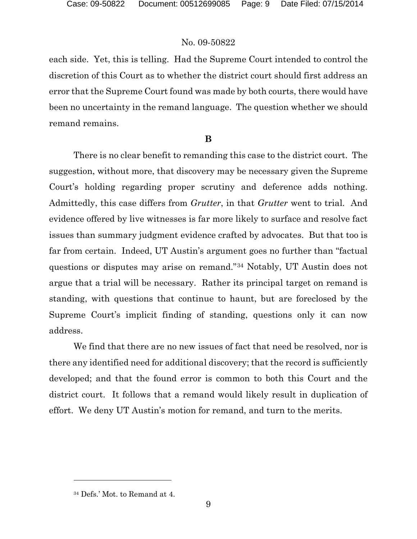each side. Yet, this is telling. Had the Supreme Court intended to control the discretion of this Court as to whether the district court should first address an error that the Supreme Court found was made by both courts, there would have been no uncertainty in the remand language. The question whether we should remand remains.

# **B**

There is no clear benefit to remanding this case to the district court. The suggestion, without more, that discovery may be necessary given the Supreme Court's holding regarding proper scrutiny and deference adds nothing. Admittedly, this case differs from *Grutter*, in that *Grutter* went to trial. And evidence offered by live witnesses is far more likely to surface and resolve fact issues than summary judgment evidence crafted by advocates. But that too is far from certain. Indeed, UT Austin's argument goes no further than "factual questions or disputes may arise on remand."[34](#page-8-0) Notably, UT Austin does not argue that a trial will be necessary. Rather its principal target on remand is standing, with questions that continue to haunt, but are foreclosed by the Supreme Court's implicit finding of standing, questions only it can now address.

We find that there are no new issues of fact that need be resolved, nor is there any identified need for additional discovery; that the record is sufficiently developed; and that the found error is common to both this Court and the district court. It follows that a remand would likely result in duplication of effort. We deny UT Austin's motion for remand, and turn to the merits.

l

<span id="page-8-0"></span><sup>34</sup> Defs.' Mot. to Remand at 4.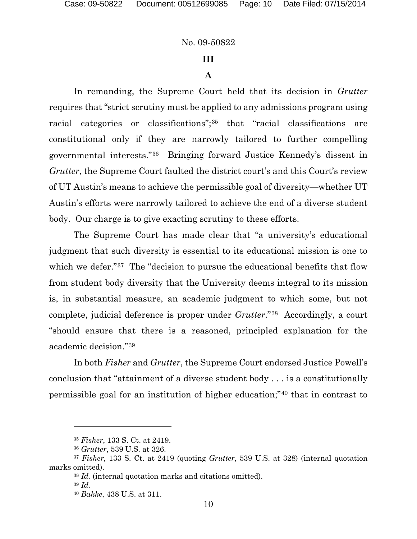# **III**

# **A**

In remanding, the Supreme Court held that its decision in *Grutter* requires that "strict scrutiny must be applied to any admissions program using racial categories or classifications";<sup>[35](#page-9-0)</sup> that "racial classifications are constitutional only if they are narrowly tailored to further compelling governmental interests."[36](#page-9-1) Bringing forward Justice Kennedy's dissent in *Grutter*, the Supreme Court faulted the district court's and this Court's review of UT Austin's means to achieve the permissible goal of diversity—whether UT Austin's efforts were narrowly tailored to achieve the end of a diverse student body. Our charge is to give exacting scrutiny to these efforts.

The Supreme Court has made clear that "a university's educational judgment that such diversity is essential to its educational mission is one to which we defer."<sup>37</sup> The "decision to pursue the educational benefits that flow from student body diversity that the University deems integral to its mission is, in substantial measure, an academic judgment to which some, but not complete, judicial deference is proper under *Grutter*."[38](#page-9-3) Accordingly, a court "should ensure that there is a reasoned, principled explanation for the academic decision."[39](#page-9-4)

In both *Fisher* and *Grutter*, the Supreme Court endorsed Justice Powell's conclusion that "attainment of a diverse student body . . . is a constitutionally permissible goal for an institution of higher education;"[40](#page-9-5) that in contrast to

<sup>35</sup> *Fisher*, 133 S. Ct. at 2419.

<sup>36</sup> *Grutter*, 539 U.S. at 326.

<span id="page-9-5"></span><span id="page-9-4"></span><span id="page-9-3"></span><span id="page-9-2"></span><span id="page-9-1"></span><span id="page-9-0"></span><sup>37</sup> *Fisher*, 133 S. Ct. at 2419 (quoting *Grutter*, 539 U.S. at 328) (internal quotation marks omitted).

<sup>38</sup> *Id.* (internal quotation marks and citations omitted).

<sup>39</sup> *Id.*

<sup>40</sup> *Bakke*, 438 U.S. at 311.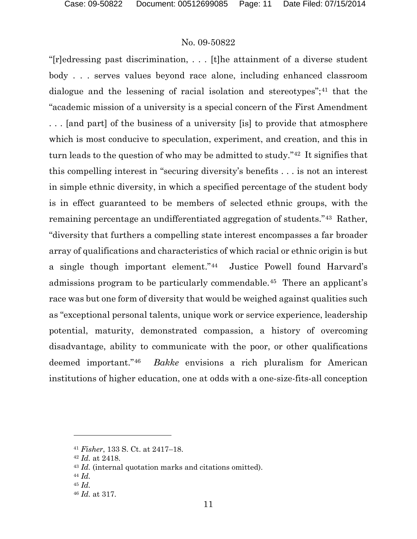"[r]edressing past discrimination, . . . [t]he attainment of a diverse student body . . . serves values beyond race alone, including enhanced classroom dialogue and the lessening of racial isolation and stereotypes"; $41$  that the "academic mission of a university is a special concern of the First Amendment . . . [and part] of the business of a university [is] to provide that atmosphere which is most conducive to speculation, experiment, and creation, and this in turn leads to the question of who may be admitted to study."[42](#page-10-1) It signifies that this compelling interest in "securing diversity's benefits . . . is not an interest in simple ethnic diversity, in which a specified percentage of the student body is in effect guaranteed to be members of selected ethnic groups, with the remaining percentage an undifferentiated aggregation of students."[43](#page-10-2) Rather, "diversity that furthers a compelling state interest encompasses a far broader array of qualifications and characteristics of which racial or ethnic origin is but a single though important element."[44](#page-10-3) Justice Powell found Harvard's admissions program to be particularly commendable.[45](#page-10-4) There an applicant's race was but one form of diversity that would be weighed against qualities such as "exceptional personal talents, unique work or service experience, leadership potential, maturity, demonstrated compassion, a history of overcoming disadvantage, ability to communicate with the poor, or other qualifications deemed important."[46](#page-10-5) *Bakke* envisions a rich pluralism for American institutions of higher education, one at odds with a one-size-fits-all conception

<span id="page-10-0"></span><sup>41</sup> *Fisher*, 133 S. Ct. at 2417–18.

<sup>42</sup> *Id.* at 2418.

<span id="page-10-2"></span><span id="page-10-1"></span><sup>43</sup> *Id.* (internal quotation marks and citations omitted).

<span id="page-10-4"></span><span id="page-10-3"></span><sup>44</sup> *Id.*

<sup>45</sup> *Id.*

<span id="page-10-5"></span><sup>46</sup> *Id.* at 317.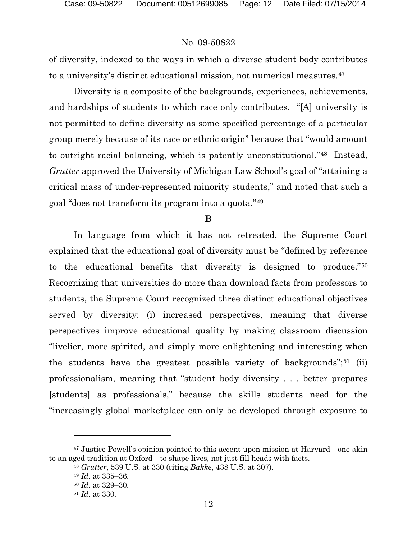of diversity, indexed to the ways in which a diverse student body contributes to a university's distinct educational mission, not numerical measures.[47](#page-11-0)

Diversity is a composite of the backgrounds, experiences, achievements, and hardships of students to which race only contributes. "[A] university is not permitted to define diversity as some specified percentage of a particular group merely because of its race or ethnic origin" because that "would amount to outright racial balancing, which is patently unconstitutional."[48](#page-11-1) Instead, *Grutter* approved the University of Michigan Law School's goal of "attaining a critical mass of under-represented minority students," and noted that such a goal "does not transform its program into a quota."[49](#page-11-2)

**B**

In language from which it has not retreated, the Supreme Court explained that the educational goal of diversity must be "defined by reference to the educational benefits that diversity is designed to produce."[50](#page-11-3) Recognizing that universities do more than download facts from professors to students, the Supreme Court recognized three distinct educational objectives served by diversity: (i) increased perspectives, meaning that diverse perspectives improve educational quality by making classroom discussion "livelier, more spirited, and simply more enlightening and interesting when the students have the greatest possible variety of backgrounds"; $51$  (ii) professionalism, meaning that "student body diversity . . . better prepares [students] as professionals," because the skills students need for the "increasingly global marketplace can only be developed through exposure to

<span id="page-11-4"></span><span id="page-11-3"></span><span id="page-11-2"></span><span id="page-11-1"></span><span id="page-11-0"></span><sup>47</sup> Justice Powell's opinion pointed to this accent upon mission at Harvard—one akin to an aged tradition at Oxford—to shape lives, not just fill heads with facts.

<sup>48</sup> *Grutter*, 539 U.S. at 330 (citing *Bakke*, 438 U.S. at 307).

<sup>49</sup> *Id.* at 335–36.

<sup>50</sup> *Id.* at 329–30.

<sup>51</sup> *Id.* at 330.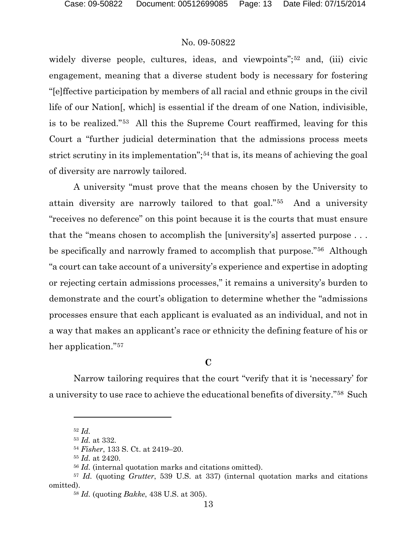widely diverse people, cultures, ideas, and viewpoints";<sup>[52](#page-12-0)</sup> and, (iii) civic engagement, meaning that a diverse student body is necessary for fostering "[e]ffective participation by members of all racial and ethnic groups in the civil life of our Nation[, which] is essential if the dream of one Nation, indivisible, is to be realized."[53](#page-12-1) All this the Supreme Court reaffirmed, leaving for this Court a "further judicial determination that the admissions process meets strict scrutiny in its implementation";[54](#page-12-2) that is, its means of achieving the goal of diversity are narrowly tailored.

A university "must prove that the means chosen by the University to attain diversity are narrowly tailored to that goal."[55](#page-12-3) And a university "receives no deference" on this point because it is the courts that must ensure that the "means chosen to accomplish the [university's] asserted purpose . . . be specifically and narrowly framed to accomplish that purpose."[56](#page-12-4) Although "a court can take account of a university's experience and expertise in adopting or rejecting certain admissions processes," it remains a university's burden to demonstrate and the court's obligation to determine whether the "admissions processes ensure that each applicant is evaluated as an individual, and not in a way that makes an applicant's race or ethnicity the defining feature of his or her application."[57](#page-12-5)

**C**

Narrow tailoring requires that the court "verify that it is 'necessary' for a university to use race to achieve the educational benefits of diversity."[58](#page-12-6) Such

l

<sup>52</sup> *Id.*

<sup>53</sup> *Id.* at 332.

<sup>54</sup> *Fisher*, 133 S. Ct. at 2419–20.

<sup>55</sup> *Id.* at 2420.

<sup>56</sup> *Id.* (internal quotation marks and citations omitted).

<span id="page-12-6"></span><span id="page-12-5"></span><span id="page-12-4"></span><span id="page-12-3"></span><span id="page-12-2"></span><span id="page-12-1"></span><span id="page-12-0"></span><sup>57</sup> *Id.* (quoting *Grutter*, 539 U.S. at 337) (internal quotation marks and citations omitted).

<sup>58</sup> *Id.* (quoting *Bakke*, 438 U.S. at 305).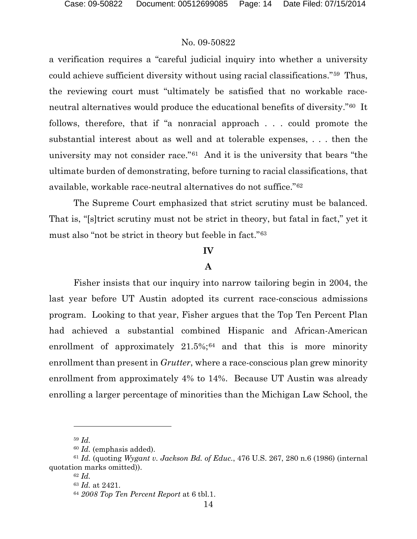a verification requires a "careful judicial inquiry into whether a university could achieve sufficient diversity without using racial classifications."[59](#page-13-0) Thus, the reviewing court must "ultimately be satisfied that no workable raceneutral alternatives would produce the educational benefits of diversity."[60](#page-13-1) It follows, therefore, that if "a nonracial approach . . . could promote the substantial interest about as well and at tolerable expenses, . . . then the university may not consider race."[61](#page-13-2) And it is the university that bears "the ultimate burden of demonstrating, before turning to racial classifications, that available, workable race-neutral alternatives do not suffice."[62](#page-13-3)

The Supreme Court emphasized that strict scrutiny must be balanced. That is, "[s]trict scrutiny must not be strict in theory, but fatal in fact," yet it must also "not be strict in theory but feeble in fact."[63](#page-13-4)

#### **IV**

# **A**

Fisher insists that our inquiry into narrow tailoring begin in 2004, the last year before UT Austin adopted its current race-conscious admissions program. Looking to that year, Fisher argues that the Top Ten Percent Plan had achieved a substantial combined Hispanic and African-American enrollment of approximately  $21.5\%$ ;<sup>[64](#page-13-5)</sup> and that this is more minority enrollment than present in *Grutter*, where a race-conscious plan grew minority enrollment from approximately 4% to 14%. Because UT Austin was already enrolling a larger percentage of minorities than the Michigan Law School, the

<sup>59</sup> *Id.*

<sup>60</sup> *Id.* (emphasis added).

<span id="page-13-5"></span><span id="page-13-4"></span><span id="page-13-3"></span><span id="page-13-2"></span><span id="page-13-1"></span><span id="page-13-0"></span><sup>61</sup> *Id.* (quoting *Wygant v. Jackson Bd. of Educ.*, 476 U.S. 267, 280 n.6 (1986) (internal quotation marks omitted)).

<sup>62</sup> *Id.*

<sup>63</sup> *Id.* at 2421.

<sup>64</sup> *2008 Top Ten Percent Report* at 6 tbl.1.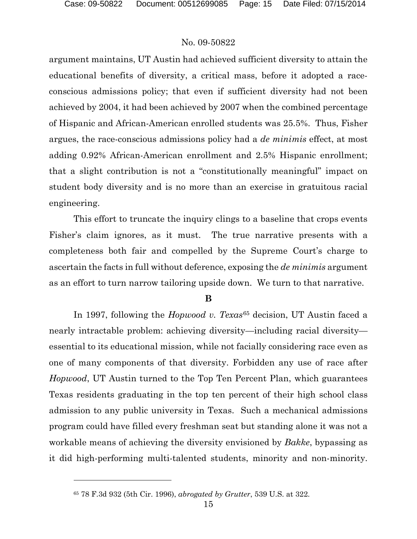### No. 09-50822

argument maintains, UT Austin had achieved sufficient diversity to attain the educational benefits of diversity, a critical mass, before it adopted a raceconscious admissions policy; that even if sufficient diversity had not been achieved by 2004, it had been achieved by 2007 when the combined percentage of Hispanic and African-American enrolled students was 25.5%. Thus, Fisher argues, the race-conscious admissions policy had a *de minimis* effect, at most adding 0.92% African-American enrollment and 2.5% Hispanic enrollment; that a slight contribution is not a "constitutionally meaningful" impact on student body diversity and is no more than an exercise in gratuitous racial engineering.

This effort to truncate the inquiry clings to a baseline that crops events Fisher's claim ignores, as it must. The true narrative presents with a completeness both fair and compelled by the Supreme Court's charge to ascertain the facts in full without deference, exposing the *de minimis* argument as an effort to turn narrow tailoring upside down. We turn to that narrative.

#### **B**

In 1997, following the *Hopwood v. Texas*[65](#page-14-0) decision, UT Austin faced a nearly intractable problem: achieving diversity—including racial diversity essential to its educational mission, while not facially considering race even as one of many components of that diversity. Forbidden any use of race after *Hopwood*, UT Austin turned to the Top Ten Percent Plan, which guarantees Texas residents graduating in the top ten percent of their high school class admission to any public university in Texas. Such a mechanical admissions program could have filled every freshman seat but standing alone it was not a workable means of achieving the diversity envisioned by *Bakke*, bypassing as it did high-performing multi-talented students, minority and non-minority.

<span id="page-14-0"></span><sup>65</sup> 78 F.3d 932 (5th Cir. 1996), *abrogated by Grutter*, 539 U.S. at 322.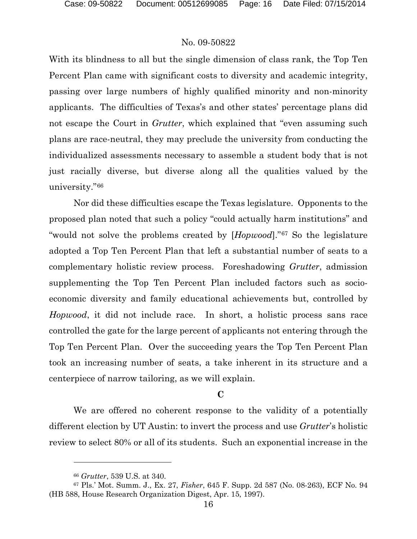With its blindness to all but the single dimension of class rank, the Top Ten Percent Plan came with significant costs to diversity and academic integrity, passing over large numbers of highly qualified minority and non-minority applicants. The difficulties of Texas's and other states' percentage plans did not escape the Court in *Grutter*, which explained that "even assuming such plans are race-neutral, they may preclude the university from conducting the individualized assessments necessary to assemble a student body that is not just racially diverse, but diverse along all the qualities valued by the university."[66](#page-15-0)

Nor did these difficulties escape the Texas legislature. Opponents to the proposed plan noted that such a policy "could actually harm institutions" and "would not solve the problems created by [*Hopwood*]."[67](#page-15-1) So the legislature adopted a Top Ten Percent Plan that left a substantial number of seats to a complementary holistic review process. Foreshadowing *Grutter*, admission supplementing the Top Ten Percent Plan included factors such as socioeconomic diversity and family educational achievements but, controlled by *Hopwood*, it did not include race. In short, a holistic process sans race controlled the gate for the large percent of applicants not entering through the Top Ten Percent Plan. Over the succeeding years the Top Ten Percent Plan took an increasing number of seats, a take inherent in its structure and a centerpiece of narrow tailoring, as we will explain.

# **C**

We are offered no coherent response to the validity of a potentially different election by UT Austin: to invert the process and use *Grutter*'s holistic review to select 80% or all of its students. Such an exponential increase in the

<sup>66</sup> *Grutter*, 539 U.S. at 340.

<span id="page-15-1"></span><span id="page-15-0"></span><sup>67</sup> Pls.' Mot. Summ. J., Ex. 27, *Fisher*, 645 F. Supp. 2d 587 (No. 08-263), ECF No. 94 (HB 588, House Research Organization Digest, Apr. 15, 1997).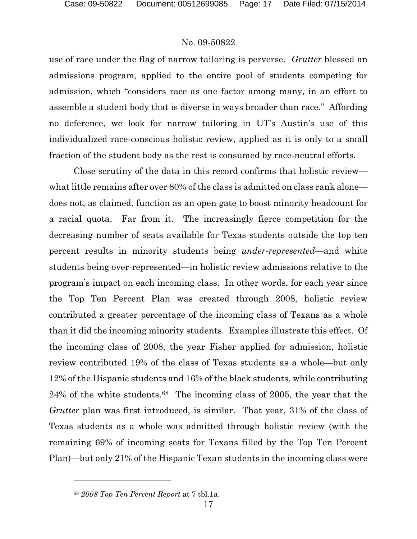use of race under the flag of narrow tailoring is perverse. *Grutter* blessed an admissions program, applied to the entire pool of students competing for admission, which "considers race as one factor among many, in an effort to assemble a student body that is diverse in ways broader than race." Affording no deference, we look for narrow tailoring in UT's Austin's use of this individualized race-conscious holistic review, applied as it is only to a small fraction of the student body as the rest is consumed by race-neutral efforts.

Close scrutiny of the data in this record confirms that holistic review what little remains after over 80% of the class is admitted on class rank alone does not, as claimed, function as an open gate to boost minority headcount for a racial quota. Far from it. The increasingly fierce competition for the decreasing number of seats available for Texas students outside the top ten percent results in minority students being *under-represented*—and white students being over-represented—in holistic review admissions relative to the program's impact on each incoming class. In other words, for each year since the Top Ten Percent Plan was created through 2008, holistic review contributed a greater percentage of the incoming class of Texans as a whole than it did the incoming minority students. Examples illustrate this effect. Of the incoming class of 2008, the year Fisher applied for admission, holistic review contributed 19% of the class of Texas students as a whole—but only 12% of the Hispanic students and 16% of the black students, while contributing 24% of the white students.[68](#page-16-0) The incoming class of 2005, the year that the *Grutter* plan was first introduced, is similar. That year, 31% of the class of Texas students as a whole was admitted through holistic review (with the remaining 69% of incoming seats for Texans filled by the Top Ten Percent Plan)—but only 21% of the Hispanic Texan students in the incoming class were

l

<span id="page-16-0"></span><sup>68</sup> *2008 Top Ten Percent Report* at 7 tbl.1a.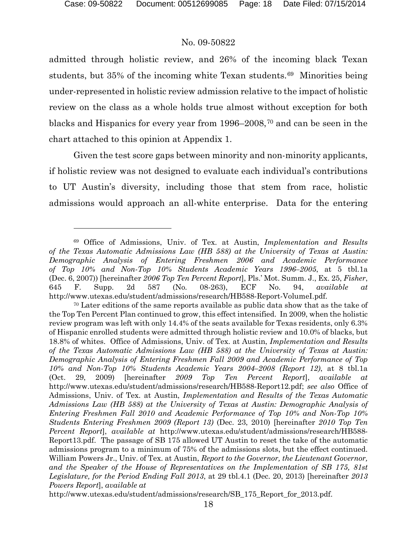$\overline{a}$ 

### No. 09-50822

admitted through holistic review, and 26% of the incoming black Texan students, but 35% of the incoming white Texan students.[69](#page-17-0) Minorities being under-represented in holistic review admission relative to the impact of holistic review on the class as a whole holds true almost without exception for both blacks and Hispanics for every year from 1996–2008,[70](#page-17-1) and can be seen in the chart attached to this opinion at Appendix 1.

Given the test score gaps between minority and non-minority applicants, if holistic review was not designed to evaluate each individual's contributions to UT Austin's diversity, including those that stem from race, holistic admissions would approach an all-white enterprise. Data for the entering

http://www.utexas.edu/student/admissions/research/SB\_175\_Report\_for\_2013.pdf.

<span id="page-17-0"></span><sup>69</sup> Office of Admissions, Univ. of Tex. at Austin, *Implementation and Results of the Texas Automatic Admissions Law (HB 588) at the University of Texas at Austin: Demographic Analysis of Entering Freshmen 2006 and Academic Performance of Top 10% and Non-Top 10% Students Academic Years 1996–2005*, at 5 tbl.1a (Dec. 6, 2007)) [hereinafter *2006 Top Ten Percent Report*], Pls.' Mot. Summ. J., Ex. 25, *Fisher*, 645 F. Supp. 2d 587 (No. 08-263), ECF No. 94, *available at* http://www.utexas.edu/student/admissions/research/HB588-Report-VolumeI.pdf.

<span id="page-17-1"></span><sup>70</sup> Later editions of the same reports available as public data show that as the take of the Top Ten Percent Plan continued to grow, this effect intensified. In 2009, when the holistic review program was left with only 14.4% of the seats available for Texas residents, only 6.3% of Hispanic enrolled students were admitted through holistic review and 10.0% of blacks, but 18.8% of whites. Office of Admissions, Univ. of Tex. at Austin, *Implementation and Results of the Texas Automatic Admissions Law (HB 588) at the University of Texas at Austin: Demographic Analysis of Entering Freshmen Fall 2009 and Academic Performance of Top 10% and Non-Top 10% Students Academic Years 2004–2008 (Report 12)*, at 8 tbl.1a (Oct. 29, 2009) [hereinafter *2009 Top Ten Percent Report*], *available at* http://www.utexas.edu/student/admissions/research/HB588-Report12.pdf; *see also* Office of Admissions, Univ. of Tex. at Austin, *Implementation and Results of the Texas Automatic Admissions Law (HB 588) at the University of Texas at Austin: Demographic Analysis of Entering Freshmen Fall 2010 and Academic Performance of Top 10% and Non-Top 10% Students Entering Freshmen 2009 (Report 13)* (Dec. 23, 2010) [hereinafter *2010 Top Ten Percent Report*], *available at* http://www.utexas.edu/student/admissions/research/HB588- Report13.pdf. The passage of SB 175 allowed UT Austin to reset the take of the automatic admissions program to a minimum of 75% of the admissions slots, but the effect continued. William Powers Jr., Univ. of Tex. at Austin, *Report to the Governor, the Lieutenant Governor, and the Speaker of the House of Representatives on the Implementation of SB 175, 81st Legislature, for the Period Ending Fall 2013*, at 29 tbl.4.1 (Dec. 20, 2013) [hereinafter *2013 Powers Report*], *available at*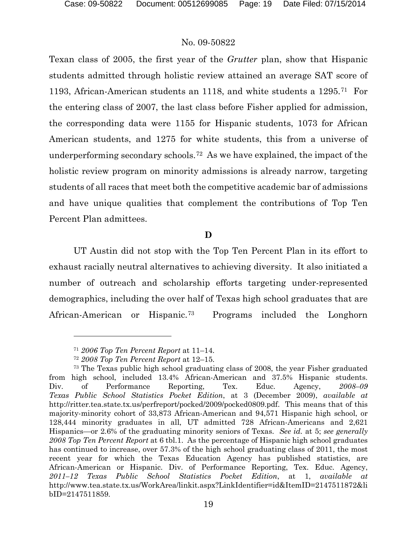Texan class of 2005, the first year of the *Grutter* plan, show that Hispanic students admitted through holistic review attained an average SAT score of 1193, African-American students an 1118, and white students a 1295.[71](#page-18-0) For the entering class of 2007, the last class before Fisher applied for admission, the corresponding data were 1155 for Hispanic students, 1073 for African American students, and 1275 for white students, this from a universe of underperforming secondary schools.[72](#page-18-1) As we have explained, the impact of the holistic review program on minority admissions is already narrow, targeting students of all races that meet both the competitive academic bar of admissions and have unique qualities that complement the contributions of Top Ten Percent Plan admittees.

#### **D**

UT Austin did not stop with the Top Ten Percent Plan in its effort to exhaust racially neutral alternatives to achieving diversity. It also initiated a number of outreach and scholarship efforts targeting under-represented demographics, including the over half of Texas high school graduates that are African-American or Hispanic.[73](#page-18-2) Programs included the Longhorn

l

<sup>71</sup> *2006 Top Ten Percent Report* at 11–14.

<sup>72</sup> *2008 Top Ten Percent Report* at 12–15.

<span id="page-18-2"></span><span id="page-18-1"></span><span id="page-18-0"></span><sup>73</sup> The Texas public high school graduating class of 2008, the year Fisher graduated from high school, included 13.4% African-American and 37.5% Hispanic students. Div. of Performance Reporting, Tex. Educ. Agency, *2008–09 Texas Public School Statistics Pocket Edition*, at 3 (December 2009), *available at* http://ritter.tea.state.tx.us/perfreport/pocked/2009/pocked0809.pdf. This means that of this majority-minority cohort of 33,873 African-American and 94,571 Hispanic high school, or 128,444 minority graduates in all, UT admitted 728 African-Americans and 2,621 Hispanics—or 2.6% of the graduating minority seniors of Texas. *See id.* at 5; *see generally 2008 Top Ten Percent Report* at 6 tbl.1. As the percentage of Hispanic high school graduates has continued to increase, over 57.3% of the high school graduating class of 2011, the most recent year for which the Texas Education Agency has published statistics, are African-American or Hispanic. Div. of Performance Reporting, Tex. Educ. Agency, *2011–12 Texas Public School Statistics Pocket Edition*, at 1, *available at* http://www.tea.state.tx.us/WorkArea/linkit.aspx?LinkIdentifier=id&ItemID=2147511872&li bID=2147511859.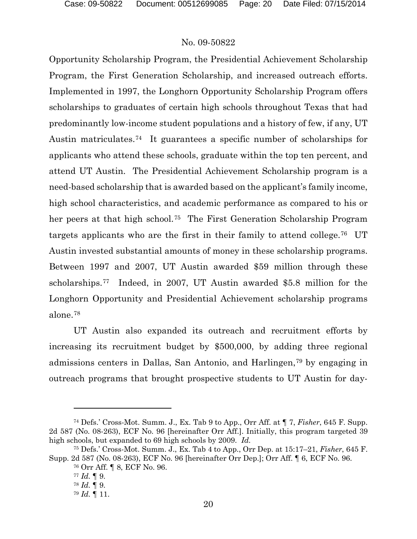Opportunity Scholarship Program, the Presidential Achievement Scholarship Program, the First Generation Scholarship, and increased outreach efforts. Implemented in 1997, the Longhorn Opportunity Scholarship Program offers scholarships to graduates of certain high schools throughout Texas that had predominantly low-income student populations and a history of few, if any, UT Austin matriculates.[74](#page-19-0) It guarantees a specific number of scholarships for applicants who attend these schools, graduate within the top ten percent, and attend UT Austin. The Presidential Achievement Scholarship program is a need-based scholarship that is awarded based on the applicant's family income, high school characteristics, and academic performance as compared to his or her peers at that high school.[75](#page-19-1) The First Generation Scholarship Program targets applicants who are the first in their family to attend college.[76](#page-19-2) UT Austin invested substantial amounts of money in these scholarship programs. Between 1997 and 2007, UT Austin awarded \$59 million through these scholarships.[77](#page-19-3) Indeed, in 2007, UT Austin awarded \$5.8 million for the Longhorn Opportunity and Presidential Achievement scholarship programs alone.[78](#page-19-4)

UT Austin also expanded its outreach and recruitment efforts by increasing its recruitment budget by \$500,000, by adding three regional admissions centers in Dallas, San Antonio, and Harlingen,[79](#page-19-5) by engaging in outreach programs that brought prospective students to UT Austin for day-

l

<span id="page-19-0"></span><sup>74</sup> Defs.' Cross-Mot. Summ. J., Ex. Tab 9 to App., Orr Aff. at ¶ 7, *Fisher*, 645 F. Supp. 2d 587 (No. 08-263), ECF No. 96 [hereinafter Orr Aff.]. Initially, this program targeted 39 high schools, but expanded to 69 high schools by 2009. *Id.*

<span id="page-19-5"></span><span id="page-19-4"></span><span id="page-19-3"></span><span id="page-19-2"></span><span id="page-19-1"></span><sup>75</sup> Defs.' Cross-Mot. Summ. J., Ex. Tab 4 to App., Orr Dep. at 15:17–21, *Fisher*, 645 F. Supp. 2d 587 (No. 08-263), ECF No. 96 [hereinafter Orr Dep.]; Orr Aff. ¶ 6, ECF No. 96.

<sup>76</sup> Orr Aff. ¶ 8, ECF No. 96.

 $77$  *Id.*  $\P$  9.

<sup>78</sup> *Id.* ¶ 9.

<sup>79</sup> *Id.* ¶ 11.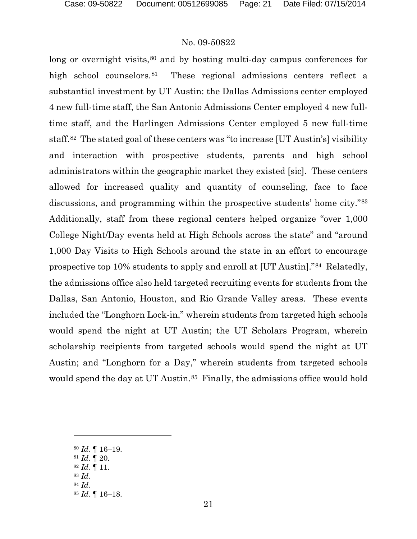long or overnight visits,<sup>[80](#page-20-0)</sup> and by hosting multi-day campus conferences for high school counselors.<sup>81</sup> These regional admissions centers reflect a substantial investment by UT Austin: the Dallas Admissions center employed 4 new full-time staff, the San Antonio Admissions Center employed 4 new fulltime staff, and the Harlingen Admissions Center employed 5 new full-time staff.[82](#page-20-2) The stated goal of these centers was "to increase [UT Austin's] visibility and interaction with prospective students, parents and high school administrators within the geographic market they existed [sic]. These centers allowed for increased quality and quantity of counseling, face to face discussions, and programming within the prospective students' home city."[83](#page-20-3) Additionally, staff from these regional centers helped organize "over 1,000 College Night/Day events held at High Schools across the state" and "around 1,000 Day Visits to High Schools around the state in an effort to encourage prospective top 10% students to apply and enroll at [UT Austin]."[84](#page-20-4) Relatedly, the admissions office also held targeted recruiting events for students from the Dallas, San Antonio, Houston, and Rio Grande Valley areas. These events included the "Longhorn Lock-in," wherein students from targeted high schools would spend the night at UT Austin; the UT Scholars Program, wherein scholarship recipients from targeted schools would spend the night at UT Austin; and "Longhorn for a Day," wherein students from targeted schools would spend the day at UT Austin.<sup>[85](#page-20-5)</sup> Finally, the admissions office would hold

- <span id="page-20-0"></span><sup>80</sup> *Id.* ¶ 16–19.
- <span id="page-20-1"></span><sup>81</sup> *Id.* ¶ 20.
- <span id="page-20-2"></span><sup>82</sup> *Id.* ¶ 11. <sup>83</sup> *Id.*
- <span id="page-20-4"></span><span id="page-20-3"></span><sup>84</sup> *Id.*

 $\overline{a}$ 

<span id="page-20-5"></span><sup>85</sup> *Id.* ¶ 16–18.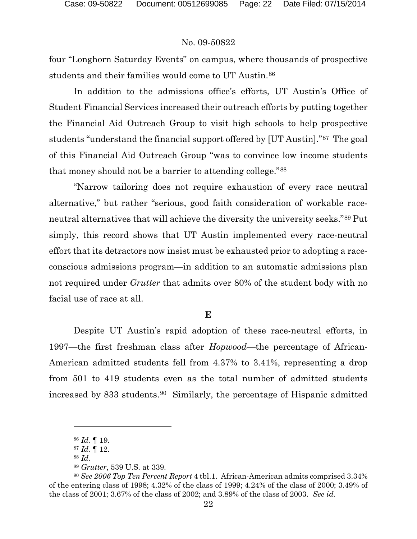four "Longhorn Saturday Events" on campus, where thousands of prospective students and their families would come to UT Austin.[86](#page-21-0)

In addition to the admissions office's efforts, UT Austin's Office of Student Financial Services increased their outreach efforts by putting together the Financial Aid Outreach Group to visit high schools to help prospective students "understand the financial support offered by [UT Austin]."[87](#page-21-1) The goal of this Financial Aid Outreach Group "was to convince low income students that money should not be a barrier to attending college."[88](#page-21-2) 

"Narrow tailoring does not require exhaustion of every race neutral alternative," but rather "serious, good faith consideration of workable raceneutral alternatives that will achieve the diversity the university seeks."[89](#page-21-3) Put simply, this record shows that UT Austin implemented every race-neutral effort that its detractors now insist must be exhausted prior to adopting a raceconscious admissions program—in addition to an automatic admissions plan not required under *Grutter* that admits over 80% of the student body with no facial use of race at all.

#### **E**

Despite UT Austin's rapid adoption of these race-neutral efforts, in 1997—the first freshman class after *Hopwood*—the percentage of African-American admitted students fell from 4.37% to 3.41%, representing a drop from 501 to 419 students even as the total number of admitted students increased by 833 students.[90](#page-21-4) Similarly, the percentage of Hispanic admitted

<sup>86</sup> *Id.* ¶ 19.

<sup>87</sup> *Id.* ¶ 12.

<sup>88</sup> *Id.*

<sup>89</sup> *Grutter*, 539 U.S. at 339.

<span id="page-21-4"></span><span id="page-21-3"></span><span id="page-21-2"></span><span id="page-21-1"></span><span id="page-21-0"></span><sup>90</sup> *See 2006 Top Ten Percent Report* 4 tbl.1. African-American admits comprised 3.34% of the entering class of 1998; 4.32% of the class of 1999; 4.24% of the class of 2000; 3.49% of the class of 2001; 3.67% of the class of 2002; and 3.89% of the class of 2003. *See id.*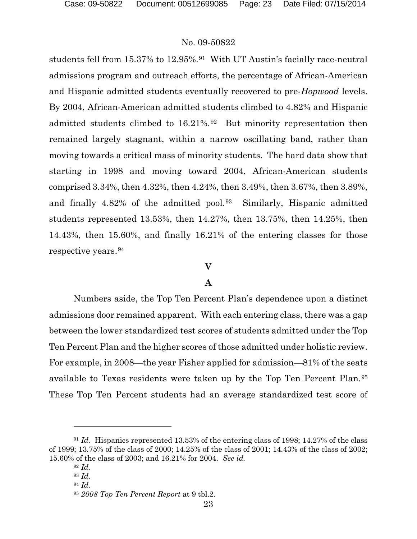students fell from 15.37% to 12.95%.<sup>[91](#page-22-0)</sup> With UT Austin's facially race-neutral admissions program and outreach efforts, the percentage of African-American and Hispanic admitted students eventually recovered to pre-*Hopwood* levels. By 2004, African-American admitted students climbed to 4.82% and Hispanic admitted students climbed to 16.21%.[92](#page-22-1) But minority representation then remained largely stagnant, within a narrow oscillating band, rather than moving towards a critical mass of minority students. The hard data show that starting in 1998 and moving toward 2004, African-American students comprised 3.34%, then 4.32%, then 4.24%, then 3.49%, then 3.67%, then 3.89%, and finally 4.82% of the admitted pool.[93](#page-22-2) Similarly, Hispanic admitted students represented 13.53%, then 14.27%, then 13.75%, then 14.25%, then 14.43%, then 15.60%, and finally 16.21% of the entering classes for those respective years.[94](#page-22-3)

# **V**

# **A**

Numbers aside, the Top Ten Percent Plan's dependence upon a distinct admissions door remained apparent. With each entering class, there was a gap between the lower standardized test scores of students admitted under the Top Ten Percent Plan and the higher scores of those admitted under holistic review. For example, in 2008—the year Fisher applied for admission—81% of the seats available to Texas residents were taken up by the Top Ten Percent Plan.[95](#page-22-4) These Top Ten Percent students had an average standardized test score of

<span id="page-22-4"></span><span id="page-22-3"></span><span id="page-22-2"></span><span id="page-22-1"></span><span id="page-22-0"></span><sup>91</sup> *Id.* Hispanics represented 13.53% of the entering class of 1998; 14.27% of the class of 1999; 13.75% of the class of 2000; 14.25% of the class of 2001; 14.43% of the class of 2002; 15.60% of the class of 2003; and 16.21% for 2004. *See id.*

<sup>92</sup> *Id.*

<sup>93</sup> *Id.*

<sup>94</sup> *Id.*

<sup>95</sup> *2008 Top Ten Percent Report* at 9 tbl.2.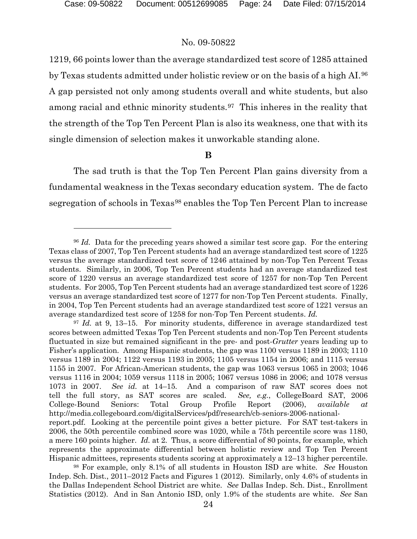$\overline{a}$ 

# No. 09-50822

1219, 66 points lower than the average standardized test score of 1285 attained by Texas students admitted under holistic review or on the basis of a high AI.[96](#page-23-0) A gap persisted not only among students overall and white students, but also among racial and ethnic minority students.[97](#page-23-1) This inheres in the reality that the strength of the Top Ten Percent Plan is also its weakness, one that with its single dimension of selection makes it unworkable standing alone.

**B**

The sad truth is that the Top Ten Percent Plan gains diversity from a fundamental weakness in the Texas secondary education system. The de facto segregation of schools in Texas<sup>[98](#page-23-2)</sup> enables the Top Ten Percent Plan to increase

<span id="page-23-0"></span><sup>96</sup> *Id.* Data for the preceding years showed a similar test score gap. For the entering Texas class of 2007, Top Ten Percent students had an average standardized test score of 1225 versus the average standardized test score of 1246 attained by non-Top Ten Percent Texas students. Similarly, in 2006, Top Ten Percent students had an average standardized test score of 1220 versus an average standardized test score of 1257 for non-Top Ten Percent students. For 2005, Top Ten Percent students had an average standardized test score of 1226 versus an average standardized test score of 1277 for non-Top Ten Percent students. Finally, in 2004, Top Ten Percent students had an average standardized test score of 1221 versus an average standardized test score of 1258 for non-Top Ten Percent students. *Id.*

<span id="page-23-1"></span><sup>97</sup> *Id.* at 9, 13–15. For minority students, difference in average standardized test scores between admitted Texas Top Ten Percent students and non-Top Ten Percent students fluctuated in size but remained significant in the pre- and post-*Grutter* years leading up to Fisher's application. Among Hispanic students, the gap was 1100 versus 1189 in 2003; 1110 versus 1189 in 2004; 1122 versus 1193 in 2005; 1105 versus 1154 in 2006; and 1115 versus 1155 in 2007. For African-American students, the gap was 1063 versus 1065 in 2003; 1046 versus 1116 in 2004; 1059 versus 1118 in 2005; 1067 versus 1086 in 2006; and 1078 versus 1073 in 2007. *See id.* at 14–15. And a comparison of raw SAT scores does not tell the full story, as SAT scores are scaled. *See, e.g.*, CollegeBoard SAT, 2006 College-Bound Seniors: Total Group Profile Report (2006), *available at* http://media.collegeboard.com/digitalServices/pdf/research/cb-seniors-2006-nationalreport.pdf. Looking at the percentile point gives a better picture. For SAT test-takers in 2006, the 50th percentile combined score was 1020, while a 75th percentile score was 1180, a mere 160 points higher. *Id.* at 2. Thus, a score differential of 80 points, for example, which represents the approximate differential between holistic review and Top Ten Percent Hispanic admittees, represents students scoring at approximately a 12–13 higher percentile.

<span id="page-23-2"></span><sup>98</sup> For example, only 8.1% of all students in Houston ISD are white. *See* Houston Indep. Sch. Dist., 2011–2012 Facts and Figures 1 (2012). Similarly, only 4.6% of students in the Dallas Independent School District are white. *See* Dallas Indep. Sch. Dist., Enrollment Statistics (2012). And in San Antonio ISD, only 1.9% of the students are white. *See* San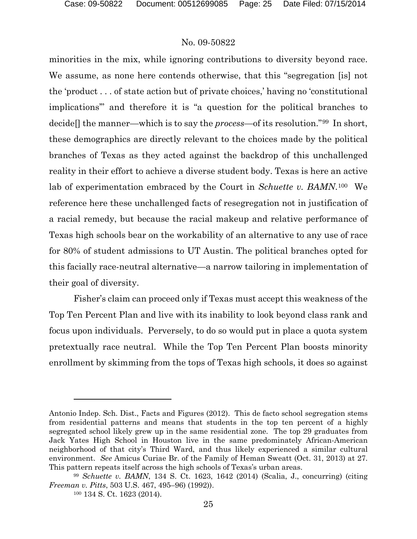minorities in the mix, while ignoring contributions to diversity beyond race. We assume, as none here contends otherwise, that this "segregation [is] not the 'product . . . of state action but of private choices,' having no 'constitutional implications'" and therefore it is "a question for the political branches to decide[] the manner—which is to say the *process*—of its resolution."[99](#page-24-0) In short, these demographics are directly relevant to the choices made by the political branches of Texas as they acted against the backdrop of this unchallenged reality in their effort to achieve a diverse student body. Texas is here an active lab of experimentation embraced by the Court in *Schuette v. BAMN*.[100](#page-24-1) We reference here these unchallenged facts of resegregation not in justification of a racial remedy, but because the racial makeup and relative performance of Texas high schools bear on the workability of an alternative to any use of race for 80% of student admissions to UT Austin. The political branches opted for this facially race-neutral alternative—a narrow tailoring in implementation of their goal of diversity.

Fisher's claim can proceed only if Texas must accept this weakness of the Top Ten Percent Plan and live with its inability to look beyond class rank and focus upon individuals. Perversely, to do so would put in place a quota system pretextually race neutral. While the Top Ten Percent Plan boosts minority enrollment by skimming from the tops of Texas high schools, it does so against

Antonio Indep. Sch. Dist., Facts and Figures (2012). This de facto school segregation stems from residential patterns and means that students in the top ten percent of a highly segregated school likely grew up in the same residential zone. The top 29 graduates from Jack Yates High School in Houston live in the same predominately African-American neighborhood of that city's Third Ward, and thus likely experienced a similar cultural environment. *See* Amicus Curiae Br. of the Family of Heman Sweatt (Oct. 31, 2013) at 27. This pattern repeats itself across the high schools of Texas's urban areas.

<span id="page-24-1"></span><span id="page-24-0"></span><sup>99</sup> *Schuette v. BAMN*, 134 S. Ct. 1623, 1642 (2014) (Scalia, J., concurring) (citing *Freeman v. Pitts*, 503 U.S. 467, 495–96) (1992)).

<sup>100</sup> 134 S. Ct. 1623 (2014).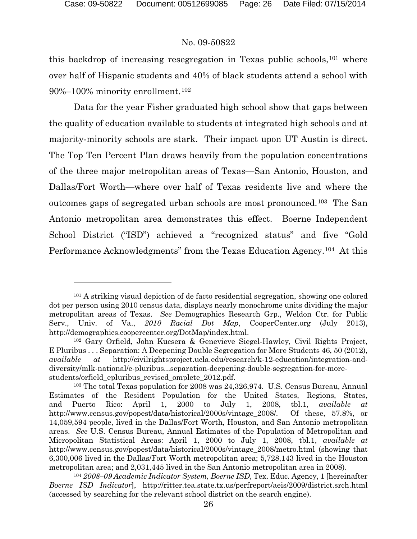# No. 09-50822

this backdrop of increasing resegregation in Texas public schools,[101](#page-25-0) where over half of Hispanic students and 40% of black students attend a school with 90%–100% minority enrollment.[102](#page-25-1)

Data for the year Fisher graduated high school show that gaps between the quality of education available to students at integrated high schools and at majority-minority schools are stark. Their impact upon UT Austin is direct. The Top Ten Percent Plan draws heavily from the population concentrations of the three major metropolitan areas of Texas—San Antonio, Houston, and Dallas/Fort Worth—where over half of Texas residents live and where the outcomes gaps of segregated urban schools are most pronounced.[103](#page-25-2) The San Antonio metropolitan area demonstrates this effect. Boerne Independent School District ("ISD") achieved a "recognized status" and five "Gold Performance Acknowledgments" from the Texas Education Agency.[104](#page-25-3) At this

<span id="page-25-0"></span><sup>&</sup>lt;sup>101</sup> A striking visual depiction of de facto residential segregation, showing one colored dot per person using 2010 census data, displays nearly monochrome units dividing the major metropolitan areas of Texas. *See* Demographics Research Grp., Weldon Ctr. for Public Serv., Univ. of Va., *2010 Racial Dot Map*, CooperCenter.org (July 2013), http://demographics.coopercenter.org/DotMap/index.html.

<span id="page-25-1"></span><sup>102</sup> Gary Orfield, John Kucsera & Genevieve Siegel-Hawley, Civil Rights Project, E Pluribus . . . Separation: A Deepening Double Segregation for More Students 46, 50 (2012), *available at* http://civilrightsproject.ucla.edu/research/k-12-education/integration-anddiversity/mlk-national/e-pluribus...separation-deepening-double-segregation-for-morestudents/orfield\_epluribus\_revised\_omplete\_2012.pdf.

<span id="page-25-2"></span><sup>103</sup> The total Texas population for 2008 was 24,326,974. U.S. Census Bureau, Annual Estimates of the Resident Population for the United States, Regions, States, and Puerto Rico: April 1, 2000 to July 1, 2008, tbl.1, *available at* http://www.census.gov/popest/data/historical/2000s/vintage\_2008/. Of these, 57.8%, or 14,059,594 people, lived in the Dallas/Fort Worth, Houston, and San Antonio metropolitan areas. *See* U.S. Census Bureau, Annual Estimates of the Population of Metropolitan and Micropolitan Statistical Areas: April 1, 2000 to July 1, 2008, tbl.1, *available at* http://www.census.gov/popest/data/historical/2000s/vintage\_2008/metro.html (showing that 6,300,006 lived in the Dallas/Fort Worth metropolitan area; 5,728,143 lived in the Houston metropolitan area; and 2,031,445 lived in the San Antonio metropolitan area in 2008).

<span id="page-25-3"></span><sup>104</sup> *2008–09 Academic Indicator System, Boerne ISD*, Tex. Educ. Agency, 1 [hereinafter *Boerne ISD Indicator*], http://ritter.tea.state.tx.us/perfreport/aeis/2009/district.srch.html (accessed by searching for the relevant school district on the search engine).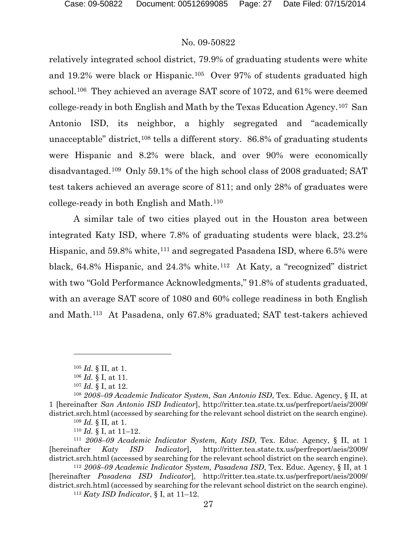relatively integrated school district, 79.9% of graduating students were white and 19.2% were black or Hispanic.[105](#page-26-0) Over 97% of students graduated high school.[106](#page-26-1) They achieved an average SAT score of 1072, and 61% were deemed college-ready in both English and Math by the Texas Education Agency.[107](#page-26-2) San Antonio ISD, its neighbor, a highly segregated and "academically unacceptable" district,<sup>[108](#page-26-3)</sup> tells a different story.  $86.8\%$  of graduating students were Hispanic and 8.2% were black, and over 90% were economically disadvantaged.[109](#page-26-4) Only 59.1% of the high school class of 2008 graduated; SAT test takers achieved an average score of 811; and only 28% of graduates were college-ready in both English and Math.[110](#page-26-5)

A similar tale of two cities played out in the Houston area between integrated Katy ISD, where 7.8% of graduating students were black, 23.2% Hispanic, and  $59.8\%$  white,  $^{111}$  $^{111}$  $^{111}$  and segregated Pasadena ISD, where 6.5% were black, 64.8% Hispanic, and 24.3% white.<sup>[112](#page-26-7)</sup> At Katy, a "recognized" district with two "Gold Performance Acknowledgments," 91.8% of students graduated, with an average SAT score of 1080 and 60% college readiness in both English and Math.[113](#page-26-8) At Pasadena, only 67.8% graduated; SAT test-takers achieved

 $\overline{a}$ 

<sup>113</sup> *Katy ISD Indicator*, § I, at 11–12.

<sup>105</sup> *Id.* § II, at 1.

<sup>106</sup> *Id.* § I, at 11.

<sup>107</sup> *Id.* § I, at 12.

<span id="page-26-3"></span><span id="page-26-2"></span><span id="page-26-1"></span><span id="page-26-0"></span><sup>108</sup> *2008–09 Academic Indicator System, San Antonio ISD*, Tex. Educ. Agency, § II, at 1 [hereinafter *San Antonio ISD Indicator*], http://ritter.tea.state.tx.us/perfreport/aeis/2009/ district.srch.html (accessed by searching for the relevant school district on the search engine). <sup>109</sup> *Id.* § II, at 1.

 $110$  *Id.* § I, at 11–12.

<span id="page-26-6"></span><span id="page-26-5"></span><span id="page-26-4"></span><sup>111</sup> *2008–09 Academic Indicator System, Katy ISD*, Tex. Educ. Agency, § II, at 1 [hereinafter *Katy ISD Indicator*], http://ritter.tea.state.tx.us/perfreport/aeis/2009/ district.srch.html (accessed by searching for the relevant school district on the search engine).

<span id="page-26-8"></span><span id="page-26-7"></span><sup>112</sup> *2008–09 Academic Indicator System, Pasadena ISD*, Tex. Educ. Agency, § II, at 1 [hereinafter *Pasadena ISD Indicator*], http://ritter.tea.state.tx.us/perfreport/aeis/2009/ district.srch.html (accessed by searching for the relevant school district on the search engine).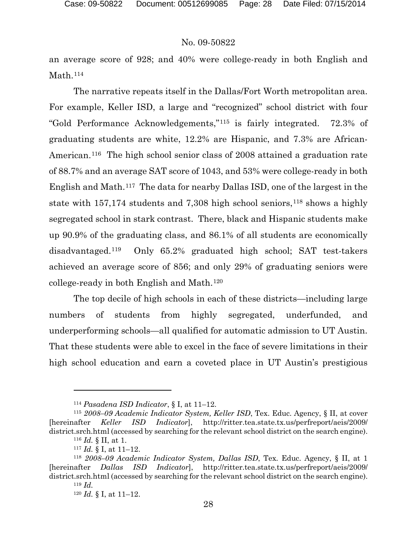an average score of 928; and 40% were college-ready in both English and Math.<sup>114</sup>

The narrative repeats itself in the Dallas/Fort Worth metropolitan area. For example, Keller ISD, a large and "recognized" school district with four "Gold Performance Acknowledgements,"[115](#page-27-1) is fairly integrated. 72.3% of graduating students are white, 12.2% are Hispanic, and 7.3% are African-American.<sup>[116](#page-27-2)</sup> The high school senior class of 2008 attained a graduation rate of 88.7% and an average SAT score of 1043, and 53% were college-ready in both English and Math.[117](#page-27-3) The data for nearby Dallas ISD, one of the largest in the state with  $157,174$  students and 7,308 high school seniors,<sup>[118](#page-27-4)</sup> shows a highly segregated school in stark contrast. There, black and Hispanic students make up 90.9% of the graduating class, and 86.1% of all students are economically disadvantaged.[119](#page-27-5) Only 65.2% graduated high school; SAT test-takers achieved an average score of 856; and only 29% of graduating seniors were college-ready in both English and Math.[120](#page-27-6)

The top decile of high schools in each of these districts—including large numbers of students from highly segregated, underfunded, and underperforming schools—all qualified for automatic admission to UT Austin. That these students were able to excel in the face of severe limitations in their high school education and earn a coveted place in UT Austin's prestigious

<sup>114</sup> *Pasadena ISD Indicator*, § I, at 11–12.

<span id="page-27-1"></span><span id="page-27-0"></span><sup>115</sup> *2008–09 Academic Indicator System, Keller ISD*, Tex. Educ. Agency, § II, at cover [hereinafter *Keller ISD Indicator*], http://ritter.tea.state.tx.us/perfreport/aeis/2009/ district.srch.html (accessed by searching for the relevant school district on the search engine).

<sup>116</sup> *Id.* § II, at 1.

<sup>117</sup> *Id.* § I, at 11–12.

<span id="page-27-6"></span><span id="page-27-5"></span><span id="page-27-4"></span><span id="page-27-3"></span><span id="page-27-2"></span><sup>118</sup> *2008–09 Academic Indicator System, Dallas ISD*, Tex. Educ. Agency, § II, at 1 [hereinafter *Dallas ISD Indicator*], http://ritter.tea.state.tx.us/perfreport/aeis/2009/ district.srch.html (accessed by searching for the relevant school district on the search engine). <sup>119</sup> *Id.*

<sup>120</sup> *Id.* § I, at 11–12.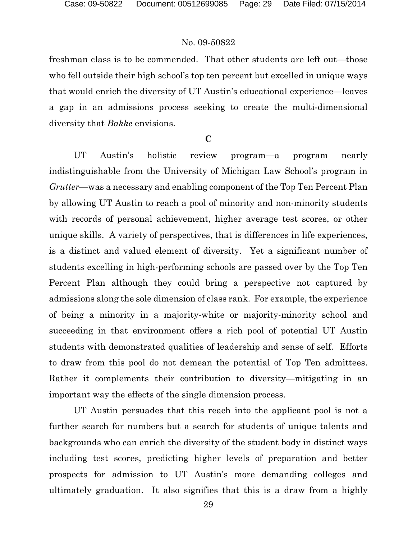freshman class is to be commended. That other students are left out—those who fell outside their high school's top ten percent but excelled in unique ways that would enrich the diversity of UT Austin's educational experience—leaves a gap in an admissions process seeking to create the multi-dimensional diversity that *Bakke* envisions.

### **C**

UT Austin's holistic review program—a program nearly indistinguishable from the University of Michigan Law School's program in *Grutter*—was a necessary and enabling component of the Top Ten Percent Plan by allowing UT Austin to reach a pool of minority and non-minority students with records of personal achievement, higher average test scores, or other unique skills. A variety of perspectives, that is differences in life experiences, is a distinct and valued element of diversity. Yet a significant number of students excelling in high-performing schools are passed over by the Top Ten Percent Plan although they could bring a perspective not captured by admissions along the sole dimension of class rank. For example, the experience of being a minority in a majority-white or majority-minority school and succeeding in that environment offers a rich pool of potential UT Austin students with demonstrated qualities of leadership and sense of self. Efforts to draw from this pool do not demean the potential of Top Ten admittees. Rather it complements their contribution to diversity—mitigating in an important way the effects of the single dimension process.

UT Austin persuades that this reach into the applicant pool is not a further search for numbers but a search for students of unique talents and backgrounds who can enrich the diversity of the student body in distinct ways including test scores, predicting higher levels of preparation and better prospects for admission to UT Austin's more demanding colleges and ultimately graduation. It also signifies that this is a draw from a highly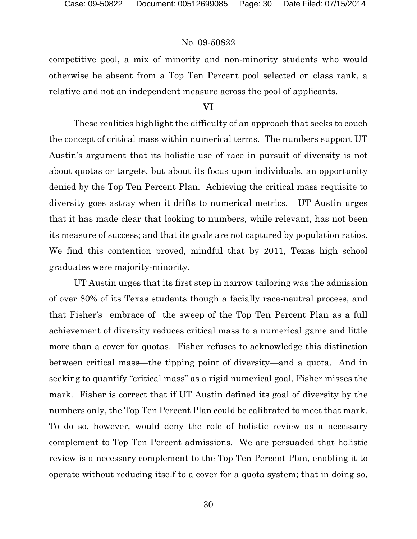competitive pool, a mix of minority and non-minority students who would otherwise be absent from a Top Ten Percent pool selected on class rank, a relative and not an independent measure across the pool of applicants.

#### **VI**

These realities highlight the difficulty of an approach that seeks to couch the concept of critical mass within numerical terms. The numbers support UT Austin's argument that its holistic use of race in pursuit of diversity is not about quotas or targets, but about its focus upon individuals, an opportunity denied by the Top Ten Percent Plan. Achieving the critical mass requisite to diversity goes astray when it drifts to numerical metrics. UT Austin urges that it has made clear that looking to numbers, while relevant, has not been its measure of success; and that its goals are not captured by population ratios. We find this contention proved, mindful that by 2011, Texas high school graduates were majority-minority.

UT Austin urges that its first step in narrow tailoring was the admission of over 80% of its Texas students though a facially race-neutral process, and that Fisher's embrace of the sweep of the Top Ten Percent Plan as a full achievement of diversity reduces critical mass to a numerical game and little more than a cover for quotas. Fisher refuses to acknowledge this distinction between critical mass—the tipping point of diversity—and a quota. And in seeking to quantify "critical mass" as a rigid numerical goal, Fisher misses the mark. Fisher is correct that if UT Austin defined its goal of diversity by the numbers only, the Top Ten Percent Plan could be calibrated to meet that mark. To do so, however, would deny the role of holistic review as a necessary complement to Top Ten Percent admissions. We are persuaded that holistic review is a necessary complement to the Top Ten Percent Plan, enabling it to operate without reducing itself to a cover for a quota system; that in doing so,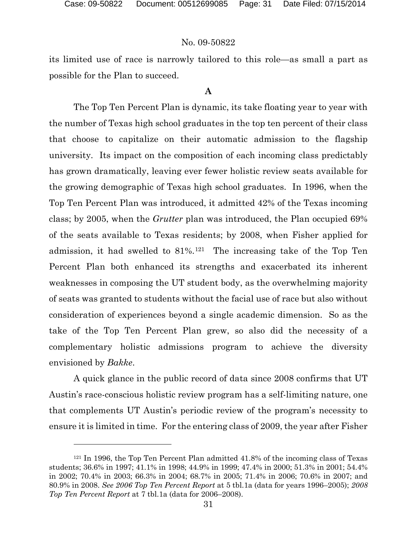# No. 09-50822

its limited use of race is narrowly tailored to this role—as small a part as possible for the Plan to succeed.

# **A**

The Top Ten Percent Plan is dynamic, its take floating year to year with the number of Texas high school graduates in the top ten percent of their class that choose to capitalize on their automatic admission to the flagship university. Its impact on the composition of each incoming class predictably has grown dramatically, leaving ever fewer holistic review seats available for the growing demographic of Texas high school graduates. In 1996, when the Top Ten Percent Plan was introduced, it admitted 42% of the Texas incoming class; by 2005, when the *Grutter* plan was introduced, the Plan occupied 69% of the seats available to Texas residents; by 2008, when Fisher applied for admission, it had swelled to  $81\%$ .<sup>[121](#page-30-0)</sup> The increasing take of the Top Ten Percent Plan both enhanced its strengths and exacerbated its inherent weaknesses in composing the UT student body, as the overwhelming majority of seats was granted to students without the facial use of race but also without consideration of experiences beyond a single academic dimension. So as the take of the Top Ten Percent Plan grew, so also did the necessity of a complementary holistic admissions program to achieve the diversity envisioned by *Bakke*.

A quick glance in the public record of data since 2008 confirms that UT Austin's race-conscious holistic review program has a self-limiting nature, one that complements UT Austin's periodic review of the program's necessity to ensure it is limited in time. For the entering class of 2009, the year after Fisher

<span id="page-30-0"></span><sup>121</sup> In 1996, the Top Ten Percent Plan admitted 41.8% of the incoming class of Texas students; 36.6% in 1997; 41.1% in 1998; 44.9% in 1999; 47.4% in 2000; 51.3% in 2001; 54.4% in 2002; 70.4% in 2003; 66.3% in 2004; 68.7% in 2005; 71.4% in 2006; 70.6% in 2007; and 80.9% in 2008. *See 2006 Top Ten Percent Report* at 5 tbl.1a (data for years 1996–2005); *2008 Top Ten Percent Report* at 7 tbl.1a (data for 2006–2008).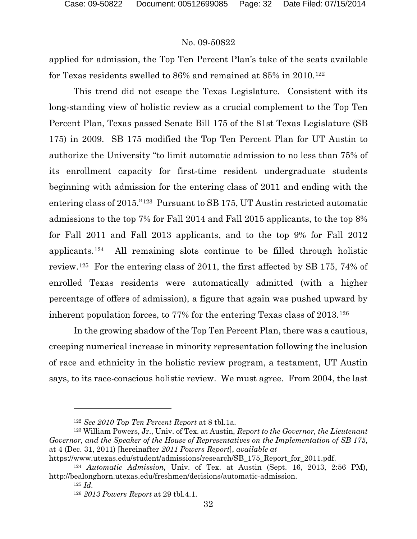applied for admission, the Top Ten Percent Plan's take of the seats available for Texas residents swelled to 86% and remained at 85% in 2010.<sup>[122](#page-31-0)</sup>

This trend did not escape the Texas Legislature. Consistent with its long-standing view of holistic review as a crucial complement to the Top Ten Percent Plan, Texas passed Senate Bill 175 of the 81st Texas Legislature (SB 175) in 2009. SB 175 modified the Top Ten Percent Plan for UT Austin to authorize the University "to limit automatic admission to no less than 75% of its enrollment capacity for first-time resident undergraduate students beginning with admission for the entering class of 2011 and ending with the entering class of 2015."[123](#page-31-1) Pursuant to SB 175, UT Austin restricted automatic admissions to the top 7% for Fall 2014 and Fall 2015 applicants, to the top 8% for Fall 2011 and Fall 2013 applicants, and to the top 9% for Fall 2012 applicants.[124](#page-31-2) All remaining slots continue to be filled through holistic review.[125](#page-31-3) For the entering class of 2011, the first affected by SB 175, 74% of enrolled Texas residents were automatically admitted (with a higher percentage of offers of admission), a figure that again was pushed upward by inherent population forces, to 77% for the entering Texas class of 2013.[126](#page-31-4)

In the growing shadow of the Top Ten Percent Plan, there was a cautious, creeping numerical increase in minority representation following the inclusion of race and ethnicity in the holistic review program, a testament, UT Austin says, to its race-conscious holistic review. We must agree. From 2004, the last

l

<sup>122</sup> *See 2010 Top Ten Percent Report* at 8 tbl.1a.

<span id="page-31-1"></span><span id="page-31-0"></span><sup>123</sup> William Powers, Jr., Univ. of Tex. at Austin, *Report to the Governor, the Lieutenant Governor, and the Speaker of the House of Representatives on the Implementation of SB 175*, at 4 (Dec. 31, 2011) [hereinafter *2011 Powers Report*], *available at*

https://www.utexas.edu/student/admissions/research/SB\_175\_Report\_for\_2011.pdf.

<span id="page-31-4"></span><span id="page-31-3"></span><span id="page-31-2"></span><sup>124</sup> *Automatic Admission*, Univ. of Tex. at Austin (Sept. 16, 2013, 2:56 PM), http://bealonghorn.utexas.edu/freshmen/decisions/automatic-admission.

<sup>125</sup> *Id.*

<sup>126</sup> *2013 Powers Report* at 29 tbl.4.1.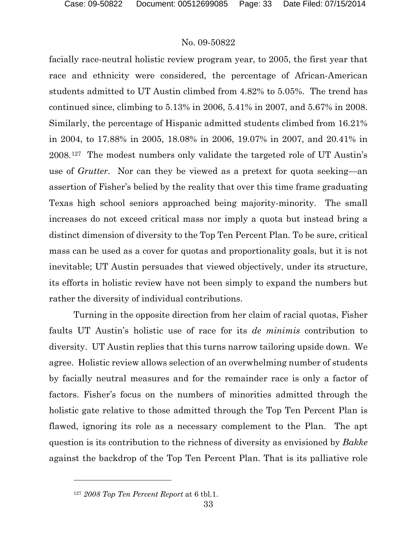facially race-neutral holistic review program year, to 2005, the first year that race and ethnicity were considered, the percentage of African-American students admitted to UT Austin climbed from 4.82% to 5.05%. The trend has continued since, climbing to 5.13% in 2006, 5.41% in 2007, and 5.67% in 2008. Similarly, the percentage of Hispanic admitted students climbed from 16.21% in 2004, to 17.88% in 2005, 18.08% in 2006, 19.07% in 2007, and 20.41% in 2008.[127](#page-32-0) The modest numbers only validate the targeted role of UT Austin's use of *Grutter*. Nor can they be viewed as a pretext for quota seeking—an assertion of Fisher's belied by the reality that over this time frame graduating Texas high school seniors approached being majority-minority. The small increases do not exceed critical mass nor imply a quota but instead bring a distinct dimension of diversity to the Top Ten Percent Plan. To be sure, critical mass can be used as a cover for quotas and proportionality goals, but it is not inevitable; UT Austin persuades that viewed objectively, under its structure, its efforts in holistic review have not been simply to expand the numbers but rather the diversity of individual contributions.

Turning in the opposite direction from her claim of racial quotas, Fisher faults UT Austin's holistic use of race for its *de minimis* contribution to diversity. UT Austin replies that this turns narrow tailoring upside down. We agree. Holistic review allows selection of an overwhelming number of students by facially neutral measures and for the remainder race is only a factor of factors. Fisher's focus on the numbers of minorities admitted through the holistic gate relative to those admitted through the Top Ten Percent Plan is flawed, ignoring its role as a necessary complement to the Plan. The apt question is its contribution to the richness of diversity as envisioned by *Bakke* against the backdrop of the Top Ten Percent Plan. That is its palliative role

l

<span id="page-32-0"></span><sup>127</sup> *2008 Top Ten Percent Report* at 6 tbl.1.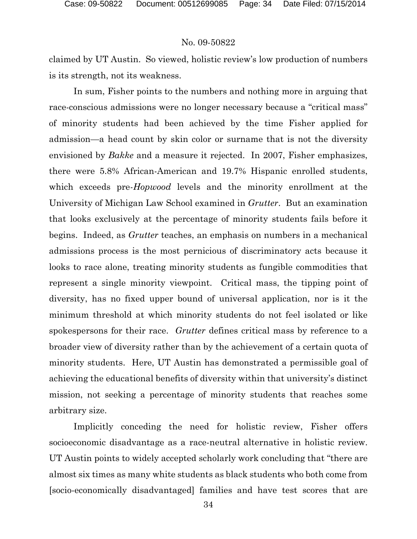claimed by UT Austin. So viewed, holistic review's low production of numbers is its strength, not its weakness.

In sum, Fisher points to the numbers and nothing more in arguing that race-conscious admissions were no longer necessary because a "critical mass" of minority students had been achieved by the time Fisher applied for admission—a head count by skin color or surname that is not the diversity envisioned by *Bakke* and a measure it rejected. In 2007, Fisher emphasizes, there were 5.8% African-American and 19.7% Hispanic enrolled students, which exceeds pre-*Hopwood* levels and the minority enrollment at the University of Michigan Law School examined in *Grutter*. But an examination that looks exclusively at the percentage of minority students fails before it begins. Indeed, as *Grutter* teaches, an emphasis on numbers in a mechanical admissions process is the most pernicious of discriminatory acts because it looks to race alone, treating minority students as fungible commodities that represent a single minority viewpoint. Critical mass, the tipping point of diversity, has no fixed upper bound of universal application, nor is it the minimum threshold at which minority students do not feel isolated or like spokespersons for their race. *Grutter* defines critical mass by reference to a broader view of diversity rather than by the achievement of a certain quota of minority students. Here, UT Austin has demonstrated a permissible goal of achieving the educational benefits of diversity within that university's distinct mission, not seeking a percentage of minority students that reaches some arbitrary size.

Implicitly conceding the need for holistic review, Fisher offers socioeconomic disadvantage as a race-neutral alternative in holistic review. UT Austin points to widely accepted scholarly work concluding that "there are almost six times as many white students as black students who both come from [socio-economically disadvantaged] families and have test scores that are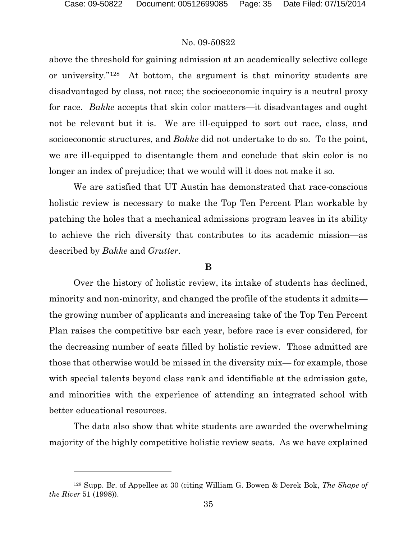### No. 09-50822

above the threshold for gaining admission at an academically selective college or university."[128](#page-34-0) At bottom, the argument is that minority students are disadvantaged by class, not race; the socioeconomic inquiry is a neutral proxy for race. *Bakke* accepts that skin color matters—it disadvantages and ought not be relevant but it is. We are ill-equipped to sort out race, class, and socioeconomic structures, and *Bakke* did not undertake to do so. To the point, we are ill-equipped to disentangle them and conclude that skin color is no longer an index of prejudice; that we would will it does not make it so.

We are satisfied that UT Austin has demonstrated that race-conscious holistic review is necessary to make the Top Ten Percent Plan workable by patching the holes that a mechanical admissions program leaves in its ability to achieve the rich diversity that contributes to its academic mission—as described by *Bakke* and *Grutter*.

#### **B**

Over the history of holistic review, its intake of students has declined, minority and non-minority, and changed the profile of the students it admits the growing number of applicants and increasing take of the Top Ten Percent Plan raises the competitive bar each year, before race is ever considered, for the decreasing number of seats filled by holistic review. Those admitted are those that otherwise would be missed in the diversity mix— for example, those with special talents beyond class rank and identifiable at the admission gate, and minorities with the experience of attending an integrated school with better educational resources.

The data also show that white students are awarded the overwhelming majority of the highly competitive holistic review seats. As we have explained

<span id="page-34-0"></span><sup>128</sup> Supp. Br. of Appellee at 30 (citing William G. Bowen & Derek Bok, *The Shape of the River* 51 (1998)).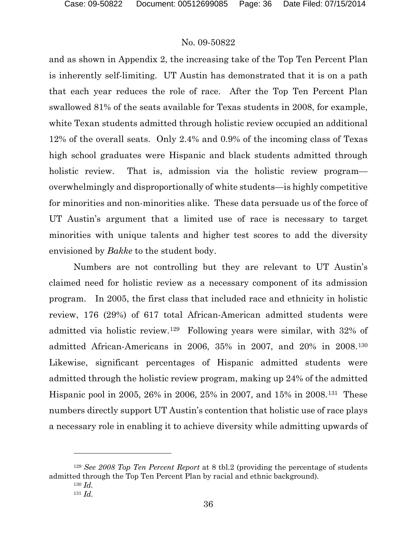and as shown in Appendix 2, the increasing take of the Top Ten Percent Plan is inherently self-limiting. UT Austin has demonstrated that it is on a path that each year reduces the role of race. After the Top Ten Percent Plan swallowed 81% of the seats available for Texas students in 2008, for example, white Texan students admitted through holistic review occupied an additional 12% of the overall seats. Only 2.4% and 0.9% of the incoming class of Texas high school graduates were Hispanic and black students admitted through holistic review. That is, admission via the holistic review program overwhelmingly and disproportionally of white students—is highly competitive for minorities and non-minorities alike. These data persuade us of the force of UT Austin's argument that a limited use of race is necessary to target minorities with unique talents and higher test scores to add the diversity envisioned by *Bakke* to the student body.

Numbers are not controlling but they are relevant to UT Austin's claimed need for holistic review as a necessary component of its admission program. In 2005, the first class that included race and ethnicity in holistic review, 176 (29%) of 617 total African-American admitted students were admitted via holistic review.[129](#page-35-0) Following years were similar, with 32% of admitted African-Americans in 2006, 35% in 2007, and 20% in 2008.[130](#page-35-1) Likewise, significant percentages of Hispanic admitted students were admitted through the holistic review program, making up 24% of the admitted Hispanic pool in 2005, 26% in 2006, 25% in 2007, and 15% in 2008.[131](#page-35-2) These numbers directly support UT Austin's contention that holistic use of race plays a necessary role in enabling it to achieve diversity while admitting upwards of

<span id="page-35-2"></span><span id="page-35-1"></span><span id="page-35-0"></span><sup>129</sup> *See 2008 Top Ten Percent Report* at 8 tbl.2 (providing the percentage of students admitted through the Top Ten Percent Plan by racial and ethnic background).

<sup>130</sup> *Id.*

<sup>131</sup> *Id.*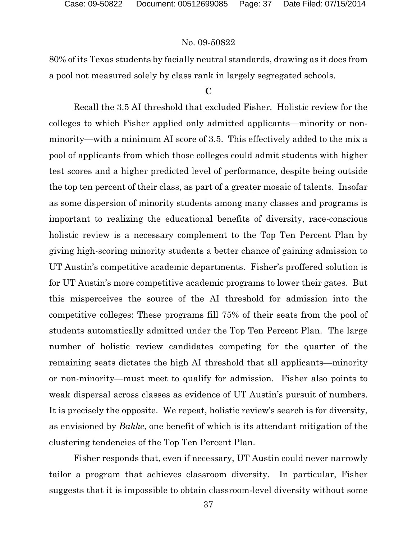80% of its Texas students by facially neutral standards, drawing as it does from a pool not measured solely by class rank in largely segregated schools.

#### **C**

Recall the 3.5 AI threshold that excluded Fisher. Holistic review for the colleges to which Fisher applied only admitted applicants—minority or nonminority—with a minimum AI score of 3.5. This effectively added to the mix a pool of applicants from which those colleges could admit students with higher test scores and a higher predicted level of performance, despite being outside the top ten percent of their class, as part of a greater mosaic of talents. Insofar as some dispersion of minority students among many classes and programs is important to realizing the educational benefits of diversity, race-conscious holistic review is a necessary complement to the Top Ten Percent Plan by giving high-scoring minority students a better chance of gaining admission to UT Austin's competitive academic departments. Fisher's proffered solution is for UT Austin's more competitive academic programs to lower their gates. But this misperceives the source of the AI threshold for admission into the competitive colleges: These programs fill 75% of their seats from the pool of students automatically admitted under the Top Ten Percent Plan. The large number of holistic review candidates competing for the quarter of the remaining seats dictates the high AI threshold that all applicants—minority or non-minority—must meet to qualify for admission. Fisher also points to weak dispersal across classes as evidence of UT Austin's pursuit of numbers. It is precisely the opposite. We repeat, holistic review's search is for diversity, as envisioned by *Bakke*, one benefit of which is its attendant mitigation of the clustering tendencies of the Top Ten Percent Plan.

Fisher responds that, even if necessary, UT Austin could never narrowly tailor a program that achieves classroom diversity. In particular, Fisher suggests that it is impossible to obtain classroom-level diversity without some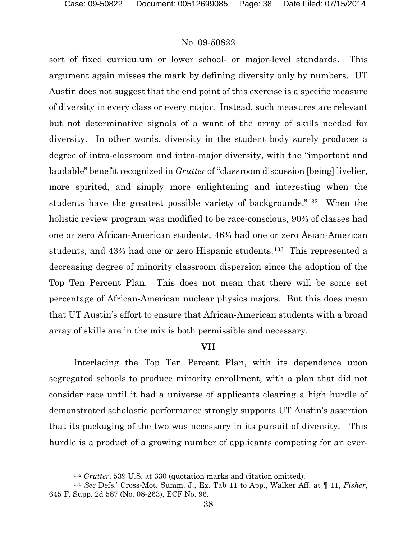$\overline{a}$ 

#### No. 09-50822

sort of fixed curriculum or lower school- or major-level standards. This argument again misses the mark by defining diversity only by numbers. UT Austin does not suggest that the end point of this exercise is a specific measure of diversity in every class or every major. Instead, such measures are relevant but not determinative signals of a want of the array of skills needed for diversity. In other words, diversity in the student body surely produces a degree of intra-classroom and intra-major diversity, with the "important and laudable" benefit recognized in *Grutter* of "classroom discussion [being] livelier, more spirited, and simply more enlightening and interesting when the students have the greatest possible variety of backgrounds."[132](#page-37-0) When the holistic review program was modified to be race-conscious, 90% of classes had one or zero African-American students, 46% had one or zero Asian-American students, and 43% had one or zero Hispanic students.[133](#page-37-1) This represented a decreasing degree of minority classroom dispersion since the adoption of the Top Ten Percent Plan. This does not mean that there will be some set percentage of African-American nuclear physics majors. But this does mean that UT Austin's effort to ensure that African-American students with a broad array of skills are in the mix is both permissible and necessary.

# **VII**

Interlacing the Top Ten Percent Plan, with its dependence upon segregated schools to produce minority enrollment, with a plan that did not consider race until it had a universe of applicants clearing a high hurdle of demonstrated scholastic performance strongly supports UT Austin's assertion that its packaging of the two was necessary in its pursuit of diversity. This hurdle is a product of a growing number of applicants competing for an ever-

<sup>132</sup> *Grutter*, 539 U.S. at 330 (quotation marks and citation omitted).

<span id="page-37-1"></span><span id="page-37-0"></span><sup>133</sup> *See* Defs.' Cross-Mot. Summ. J., Ex. Tab 11 to App., Walker Aff. at ¶ 11, *Fisher*, 645 F. Supp. 2d 587 (No. 08-263), ECF No. 96.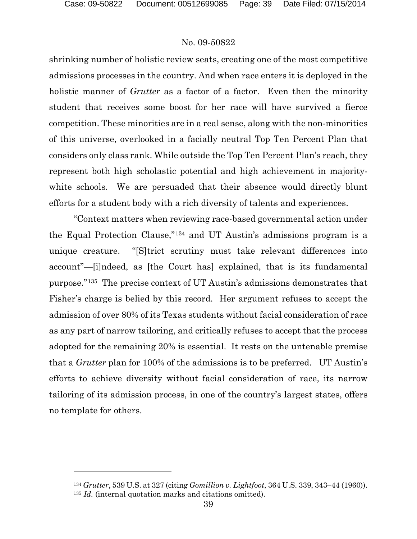#### No. 09-50822

shrinking number of holistic review seats, creating one of the most competitive admissions processes in the country. And when race enters it is deployed in the holistic manner of *Grutter* as a factor of a factor. Even then the minority student that receives some boost for her race will have survived a fierce competition. These minorities are in a real sense, along with the non-minorities of this universe, overlooked in a facially neutral Top Ten Percent Plan that considers only class rank. While outside the Top Ten Percent Plan's reach, they represent both high scholastic potential and high achievement in majoritywhite schools. We are persuaded that their absence would directly blunt efforts for a student body with a rich diversity of talents and experiences.

"Context matters when reviewing race-based governmental action under the Equal Protection Clause,"[134](#page-38-0) and UT Austin's admissions program is a unique creature. "[S]trict scrutiny must take relevant differences into account"—[i]ndeed, as [the Court has] explained, that is its fundamental purpose."[135](#page-38-1) The precise context of UT Austin's admissions demonstrates that Fisher's charge is belied by this record. Her argument refuses to accept the admission of over 80% of its Texas students without facial consideration of race as any part of narrow tailoring, and critically refuses to accept that the process adopted for the remaining 20% is essential. It rests on the untenable premise that a *Grutter* plan for 100% of the admissions is to be preferred. UT Austin's efforts to achieve diversity without facial consideration of race, its narrow tailoring of its admission process, in one of the country's largest states, offers no template for others.

<span id="page-38-1"></span><span id="page-38-0"></span><sup>134</sup> *Grutter*, 539 U.S. at 327 (citing *Gomillion v. Lightfoot*, 364 U.S. 339, 343–44 (1960)). <sup>135</sup> *Id.* (internal quotation marks and citations omitted).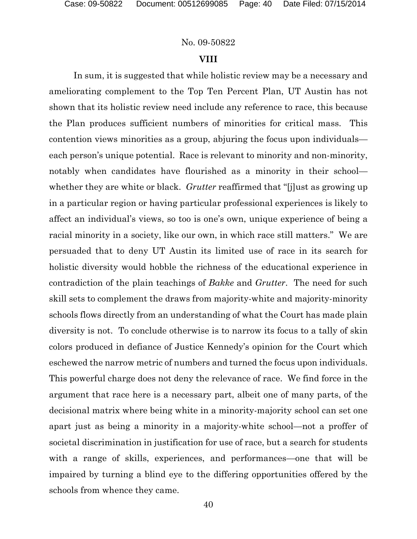# **VIII**

In sum, it is suggested that while holistic review may be a necessary and ameliorating complement to the Top Ten Percent Plan, UT Austin has not shown that its holistic review need include any reference to race, this because the Plan produces sufficient numbers of minorities for critical mass. This contention views minorities as a group, abjuring the focus upon individuals each person's unique potential. Race is relevant to minority and non-minority, notably when candidates have flourished as a minority in their school whether they are white or black. *Grutter* reaffirmed that "[j]ust as growing up in a particular region or having particular professional experiences is likely to affect an individual's views, so too is one's own, unique experience of being a racial minority in a society, like our own, in which race still matters." We are persuaded that to deny UT Austin its limited use of race in its search for holistic diversity would hobble the richness of the educational experience in contradiction of the plain teachings of *Bakke* and *Grutter*. The need for such skill sets to complement the draws from majority-white and majority-minority schools flows directly from an understanding of what the Court has made plain diversity is not. To conclude otherwise is to narrow its focus to a tally of skin colors produced in defiance of Justice Kennedy's opinion for the Court which eschewed the narrow metric of numbers and turned the focus upon individuals. This powerful charge does not deny the relevance of race. We find force in the argument that race here is a necessary part, albeit one of many parts, of the decisional matrix where being white in a minority-majority school can set one apart just as being a minority in a majority-white school—not a proffer of societal discrimination in justification for use of race, but a search for students with a range of skills, experiences, and performances—one that will be impaired by turning a blind eye to the differing opportunities offered by the schools from whence they came.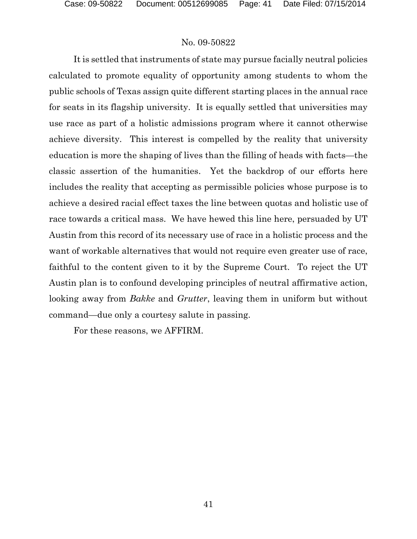It is settled that instruments of state may pursue facially neutral policies calculated to promote equality of opportunity among students to whom the public schools of Texas assign quite different starting places in the annual race for seats in its flagship university. It is equally settled that universities may use race as part of a holistic admissions program where it cannot otherwise achieve diversity. This interest is compelled by the reality that university education is more the shaping of lives than the filling of heads with facts—the classic assertion of the humanities. Yet the backdrop of our efforts here includes the reality that accepting as permissible policies whose purpose is to achieve a desired racial effect taxes the line between quotas and holistic use of race towards a critical mass. We have hewed this line here, persuaded by UT Austin from this record of its necessary use of race in a holistic process and the want of workable alternatives that would not require even greater use of race, faithful to the content given to it by the Supreme Court. To reject the UT Austin plan is to confound developing principles of neutral affirmative action, looking away from *Bakke* and *Grutter*, leaving them in uniform but without command—due only a courtesy salute in passing.

For these reasons, we AFFIRM.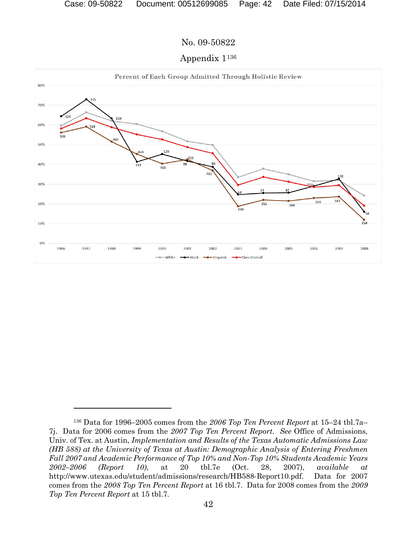

# Appendix 1[136](#page-41-0)



<span id="page-41-0"></span><sup>136</sup> Data for 1996–2005 comes from the *2006 Top Ten Percent Report* at 15–24 tbl.7a– 7j. Data for 2006 comes from the *2007 Top Ten Percent Report*. *See* Office of Admissions, Univ. of Tex. at Austin, *Implementation and Results of the Texas Automatic Admissions Law (HB 588) at the University of Texas at Austin: Demographic Analysis of Entering Freshmen Fall 2007 and Academic Performance of Top 10% and Non-Top 10% Students Academic Years 2002–2006 (Report 10)*, at 20 tbl.7e (Oct. 28, 2007), *available at* http://www.utexas.edu/student/admissions/research/HB588-Report10.pdf. Data for 2007 comes from the *2008 Top Ten Percent Report* at 16 tbl.7. Data for 2008 comes from the *2009 Top Ten Percent Report* at 15 tbl.7.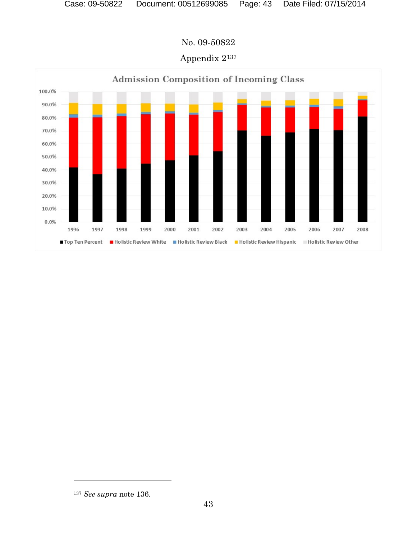

l

Appendix 2[137](#page-42-0)

<span id="page-42-0"></span><sup>137</sup> *See supra* note 136.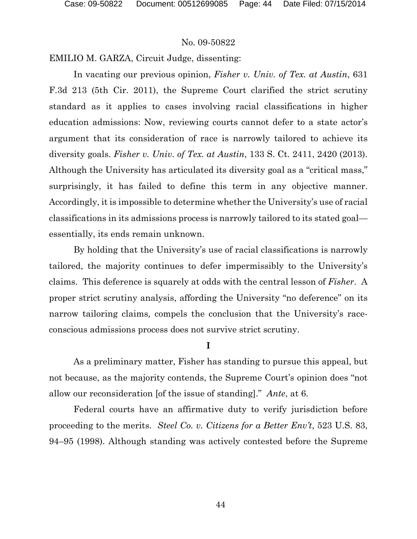EMILIO M. GARZA, Circuit Judge, dissenting:

In vacating our previous opinion, *Fisher v. Univ. of Tex. at Austin*, 631 F.3d 213 (5th Cir. 2011), the Supreme Court clarified the strict scrutiny standard as it applies to cases involving racial classifications in higher education admissions: Now, reviewing courts cannot defer to a state actor's argument that its consideration of race is narrowly tailored to achieve its diversity goals. *Fisher v. Univ. of Tex. at Austin*, 133 S. Ct. 2411, 2420 (2013). Although the University has articulated its diversity goal as a "critical mass," surprisingly, it has failed to define this term in any objective manner. Accordingly, it is impossible to determine whether the University's use of racial classifications in its admissions process is narrowly tailored to its stated goal essentially, its ends remain unknown.

By holding that the University's use of racial classifications is narrowly tailored, the majority continues to defer impermissibly to the University's claims. This deference is squarely at odds with the central lesson of *Fisher*. A proper strict scrutiny analysis, affording the University "no deference" on its narrow tailoring claims*,* compels the conclusion that the University's raceconscious admissions process does not survive strict scrutiny.

**I**

As a preliminary matter, Fisher has standing to pursue this appeal, but not because, as the majority contends, the Supreme Court's opinion does "not allow our reconsideration [of the issue of standing]." *Ante*, at 6.

Federal courts have an affirmative duty to verify jurisdiction before proceeding to the merits. *Steel Co. v. Citizens for a Better Env't*, 523 U.S. 83, 94–95 (1998). Although standing was actively contested before the Supreme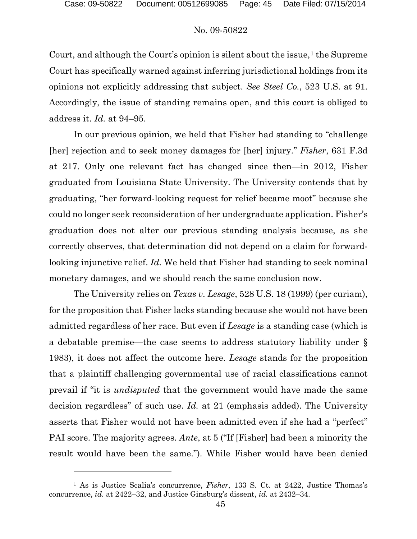#### No. 09-50822

Court, and although the Court's opinion is silent about the issue,  $\frac{1}{1}$  $\frac{1}{1}$  $\frac{1}{1}$  the Supreme Court has specifically warned against inferring jurisdictional holdings from its opinions not explicitly addressing that subject. *See Steel Co.*, 523 U.S. at 91. Accordingly, the issue of standing remains open, and this court is obliged to address it. *Id.* at 94–95.

In our previous opinion, we held that Fisher had standing to "challenge [her] rejection and to seek money damages for [her] injury." *Fisher*, 631 F.3d at 217. Only one relevant fact has changed since then—in 2012, Fisher graduated from Louisiana State University. The University contends that by graduating, "her forward-looking request for relief became moot" because she could no longer seek reconsideration of her undergraduate application. Fisher's graduation does not alter our previous standing analysis because, as she correctly observes, that determination did not depend on a claim for forwardlooking injunctive relief. *Id.* We held that Fisher had standing to seek nominal monetary damages, and we should reach the same conclusion now.

The University relies on *Texas v. Lesage*, 528 U.S. 18 (1999) (per curiam), for the proposition that Fisher lacks standing because she would not have been admitted regardless of her race. But even if *Lesage* is a standing case (which is a debatable premise—the case seems to address statutory liability under § 1983), it does not affect the outcome here. *Lesage* stands for the proposition that a plaintiff challenging governmental use of racial classifications cannot prevail if "it is *undisputed* that the government would have made the same decision regardless" of such use. *Id.* at 21 (emphasis added). The University asserts that Fisher would not have been admitted even if she had a "perfect" PAI score. The majority agrees. *Ante*, at 5 ("If [Fisher] had been a minority the result would have been the same."). While Fisher would have been denied

<span id="page-44-0"></span><sup>1</sup> As is Justice Scalia's concurrence, *Fisher*, 133 S. Ct. at 2422, Justice Thomas's concurrence, *id.* at 2422–32, and Justice Ginsburg's dissent, *id.* at 2432–34.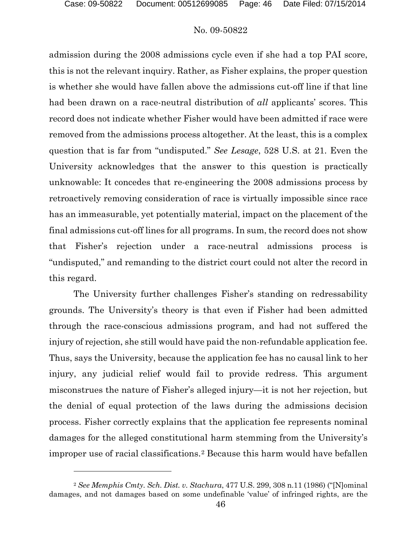#### No. 09-50822

admission during the 2008 admissions cycle even if she had a top PAI score, this is not the relevant inquiry. Rather, as Fisher explains, the proper question is whether she would have fallen above the admissions cut-off line if that line had been drawn on a race-neutral distribution of *all* applicants' scores. This record does not indicate whether Fisher would have been admitted if race were removed from the admissions process altogether. At the least, this is a complex question that is far from "undisputed." *See Lesage*, 528 U.S. at 21. Even the University acknowledges that the answer to this question is practically unknowable: It concedes that re-engineering the 2008 admissions process by retroactively removing consideration of race is virtually impossible since race has an immeasurable, yet potentially material, impact on the placement of the final admissions cut-off lines for all programs. In sum, the record does not show that Fisher's rejection under a race-neutral admissions process is "undisputed," and remanding to the district court could not alter the record in this regard.

The University further challenges Fisher's standing on redressability grounds. The University's theory is that even if Fisher had been admitted through the race-conscious admissions program, and had not suffered the injury of rejection, she still would have paid the non-refundable application fee. Thus, says the University, because the application fee has no causal link to her injury, any judicial relief would fail to provide redress. This argument misconstrues the nature of Fisher's alleged injury—it is not her rejection, but the denial of equal protection of the laws during the admissions decision process. Fisher correctly explains that the application fee represents nominal damages for the alleged constitutional harm stemming from the University's improper use of racial classifications.[2](#page-45-0) Because this harm would have befallen

<span id="page-45-0"></span><sup>2</sup> *See Memphis Cmty. Sch. Dist. v. Stachura*, 477 U.S. 299, 308 n.11 (1986) ("[N]ominal damages, and not damages based on some undefinable 'value' of infringed rights, are the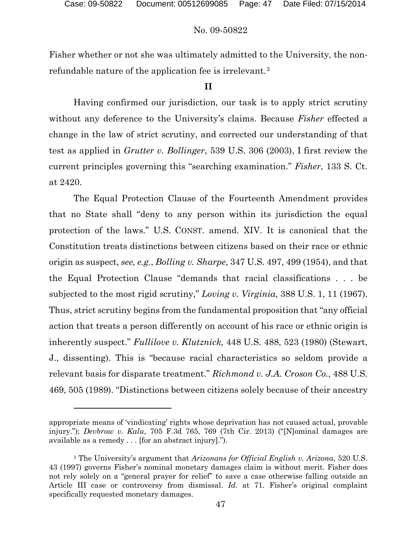# No. 09-50822

Fisher whether or not she was ultimately admitted to the University, the nonrefundable nature of the application fee is irrelevant.[3](#page-46-0)

### **II**

Having confirmed our jurisdiction, our task is to apply strict scrutiny without any deference to the University's claims. Because *Fisher* effected a change in the law of strict scrutiny, and corrected our understanding of that test as applied in *Grutter v. Bollinger*, 539 U.S. 306 (2003), I first review the current principles governing this "searching examination." *Fisher*, 133 S. Ct. at 2420.

The Equal Protection Clause of the Fourteenth Amendment provides that no State shall "deny to any person within its jurisdiction the equal protection of the laws." U.S. CONST. amend. XIV. It is canonical that the Constitution treats distinctions between citizens based on their race or ethnic origin as suspect, *see, e.g.*, *Bolling v. Sharpe*, 347 U.S. 497, 499 (1954), and that the Equal Protection Clause "demands that racial classifications . . . be subjected to the most rigid scrutiny," *Loving v. Virginia*, 388 U.S. 1, 11 (1967). Thus, strict scrutiny begins from the fundamental proposition that "any official action that treats a person differently on account of his race or ethnic origin is inherently suspect." *Fullilove v. Klutznick,* 448 U.S. 488, 523 (1980) (Stewart, J., dissenting). This is "because racial characteristics so seldom provide a relevant basis for disparate treatment." *Richmond v. J.A. Croson Co.*, 488 U.S. 469, 505 (1989). "Distinctions between citizens solely because of their ancestry

appropriate means of 'vindicating' rights whose deprivation has not caused actual, provable injury."); *Devbrow v. Kalu*, 705 F.3d 765, 769 (7th Cir. 2013) ("[N]ominal damages are available as a remedy . . . [for an abstract injury].").

<span id="page-46-0"></span><sup>3</sup> The University's argument that *Arizonans for Official English v. Arizona*, 520 U.S. 43 (1997) governs Fisher's nominal monetary damages claim is without merit. Fisher does not rely solely on a "general prayer for relief" to save a case otherwise falling outside an Article III case or controversy from dismissal. *Id*. at 71. Fisher's original complaint specifically requested monetary damages.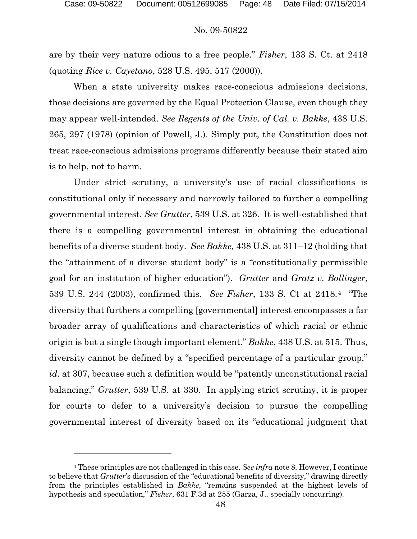$\overline{a}$ 

#### No. 09-50822

are by their very nature odious to a free people." *Fisher*, 133 S. Ct. at 2418 (quoting *Rice v. Cayetano*, 528 U.S. 495, 517 (2000)).

When a state university makes race-conscious admissions decisions, those decisions are governed by the Equal Protection Clause, even though they may appear well-intended. *See Regents of the Univ. of Cal. v. Bakke*, 438 U.S. 265, 297 (1978) (opinion of Powell, J.). Simply put, the Constitution does not treat race-conscious admissions programs differently because their stated aim is to help, not to harm.

Under strict scrutiny, a university's use of racial classifications is constitutional only if necessary and narrowly tailored to further a compelling governmental interest. *See Grutter*, 539 U.S. at 326. It is well-established that there is a compelling governmental interest in obtaining the educational benefits of a diverse student body. *See Bakke,* 438 U.S. at 311–12 (holding that the "attainment of a diverse student body" is a "constitutionally permissible goal for an institution of higher education"). *Grutter* and *Gratz v. Bollinger,*  539 U.S. 244 (2003), confirmed this. *See Fisher*, 133 S. Ct at 2418.[4](#page-47-0) "The diversity that furthers a compelling [governmental] interest encompasses a far broader array of qualifications and characteristics of which racial or ethnic origin is but a single though important element." *Bakke*, 438 U.S. at 515. Thus, diversity cannot be defined by a "specified percentage of a particular group," *id.* at 307, because such a definition would be "patently unconstitutional racial balancing," *Grutter*, 539 U.S. at 330. In applying strict scrutiny, it is proper for courts to defer to a university's decision to pursue the compelling governmental interest of diversity based on its "educational judgment that

<span id="page-47-0"></span><sup>4</sup> These principles are not challenged in this case. *See infra* note 8. However, I continue to believe that *Grutter*'s discussion of the "educational benefits of diversity," drawing directly from the principles established in *Bakke*, "remains suspended at the highest levels of hypothesis and speculation," *Fisher*, 631 F.3d at 255 (Garza, J., specially concurring)*.*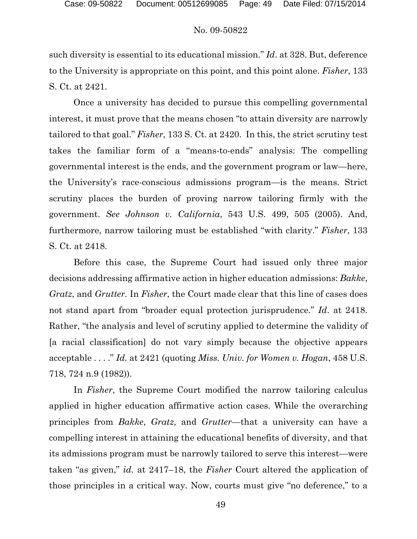such diversity is essential to its educational mission." *Id*. at 328. But, deference to the University is appropriate on this point, and this point alone. *Fisher*, 133 S. Ct. at 2421.

Once a university has decided to pursue this compelling governmental interest, it must prove that the means chosen "to attain diversity are narrowly tailored to that goal." *Fisher*, 133 S. Ct. at 2420. In this, the strict scrutiny test takes the familiar form of a "means-to-ends" analysis: The compelling governmental interest is the ends, and the government program or law—here, the University's race-conscious admissions program—is the means. Strict scrutiny places the burden of proving narrow tailoring firmly with the government. *See Johnson v. California*, 543 U.S. 499, 505 (2005). And, furthermore, narrow tailoring must be established "with clarity." *Fisher*, 133 S. Ct. at 2418.

Before this case, the Supreme Court had issued only three major decisions addressing affirmative action in higher education admissions: *Bakke*, *Gratz*, and *Grutter.* In *Fisher*, the Court made clear that this line of cases does not stand apart from "broader equal protection jurisprudence." *Id*. at 2418. Rather, "the analysis and level of scrutiny applied to determine the validity of [a racial classification] do not vary simply because the objective appears acceptable . . . ." *Id.* at 2421 (quoting *Miss. Univ. for Women v. Hogan*, 458 U.S. 718, 724 n.9 (1982)).

In *Fisher*, the Supreme Court modified the narrow tailoring calculus applied in higher education affirmative action cases. While the overarching principles from *Bakke*, *Gratz*, and *Grutter*—that a university can have a compelling interest in attaining the educational benefits of diversity, and that its admissions program must be narrowly tailored to serve this interest—were taken "as given," *id.* at 2417–18, the *Fisher* Court altered the application of those principles in a critical way. Now, courts must give "no deference," to a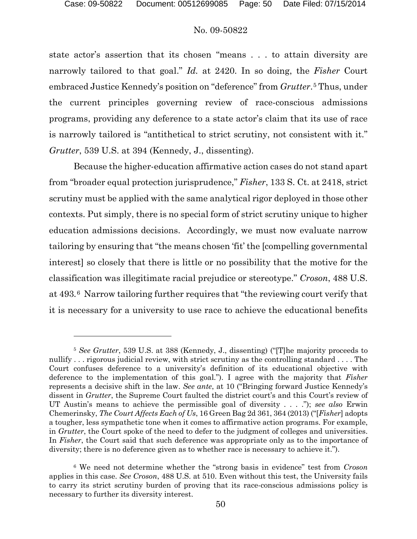#### No. 09-50822

state actor's assertion that its chosen "means . . . to attain diversity are narrowly tailored to that goal." *Id.* at 2420. In so doing, the *Fisher* Court embraced Justice Kennedy's position on "deference" from *Grutter*.[5](#page-49-0) Thus, under the current principles governing review of race-conscious admissions programs, providing any deference to a state actor's claim that its use of race is narrowly tailored is "antithetical to strict scrutiny, not consistent with it." *Grutter*, 539 U.S. at 394 (Kennedy, J., dissenting).

Because the higher-education affirmative action cases do not stand apart from "broader equal protection jurisprudence," *Fisher*, 133 S. Ct. at 2418, strict scrutiny must be applied with the same analytical rigor deployed in those other contexts. Put simply, there is no special form of strict scrutiny unique to higher education admissions decisions. Accordingly, we must now evaluate narrow tailoring by ensuring that "the means chosen 'fit' the [compelling governmental interest] so closely that there is little or no possibility that the motive for the classification was illegitimate racial prejudice or stereotype." *Croson*, 488 U.S. at 493*.*[6](#page-49-1) Narrow tailoring further requires that "the reviewing court verify that it is necessary for a university to use race to achieve the educational benefits

<span id="page-49-0"></span><sup>5</sup> *See Grutter*, 539 U.S. at 388 (Kennedy, J., dissenting) ("[T]he majority proceeds to nullify . . . rigorous judicial review, with strict scrutiny as the controlling standard . . . . The Court confuses deference to a university's definition of its educational objective with deference to the implementation of this goal."). I agree with the majority that *Fisher* represents a decisive shift in the law. *See ante*, at 10 ("Bringing forward Justice Kennedy's dissent in *Grutter*, the Supreme Court faulted the district court's and this Court's review of UT Austin's means to achieve the permissible goal of diversity . . . ."); *see also* Erwin Chemerinsky, *The Court Affects Each of Us*, 16 Green Bag 2d 361, 364 (2013) ("[*Fisher*] adopts a tougher, less sympathetic tone when it comes to affirmative action programs. For example, in *Grutter*, the Court spoke of the need to defer to the judgment of colleges and universities. In *Fisher*, the Court said that such deference was appropriate only as to the importance of diversity; there is no deference given as to whether race is necessary to achieve it.").

<span id="page-49-1"></span><sup>6</sup> We need not determine whether the "strong basis in evidence" test from *Croson* applies in this case. *See Croson*, 488 U.S. at 510. Even without this test, the University fails to carry its strict scrutiny burden of proving that its race-conscious admissions policy is necessary to further its diversity interest.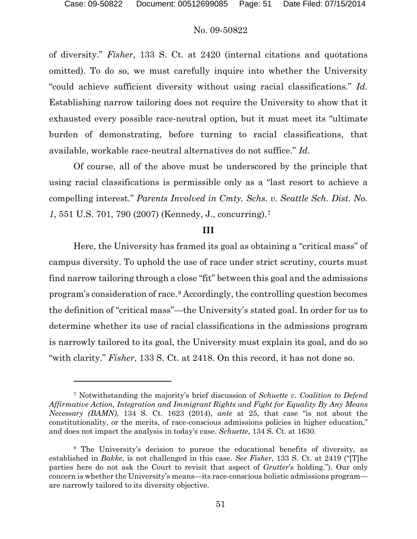$\overline{a}$ 

#### No. 09-50822

of diversity." *Fisher*, 133 S. Ct. at 2420 (internal citations and quotations omitted). To do so, we must carefully inquire into whether the University "could achieve sufficient diversity without using racial classifications." *Id.* Establishing narrow tailoring does not require the University to show that it exhausted every possible race-neutral option*,* but it must meet its "ultimate burden of demonstrating, before turning to racial classifications, that available, workable race-neutral alternatives do not suffice." *Id.*

Of course, all of the above must be underscored by the principle that using racial classifications is permissible only as a "last resort to achieve a compelling interest." *Parents Involved in Cmty. Schs. v. Seattle Sch. Dist. No. 1*, 551 U.S. 701, 790 (2007) (Kennedy, J., concurring).[7](#page-50-0)

#### **III**

Here, the University has framed its goal as obtaining a "critical mass" of campus diversity. To uphold the use of race under strict scrutiny, courts must find narrow tailoring through a close "fit" between this goal and the admissions program's consideration of race.[8](#page-50-1) Accordingly, the controlling question becomes the definition of "critical mass"—the University's stated goal. In order for us to determine whether its use of racial classifications in the admissions program is narrowly tailored to its goal, the University must explain its goal, and do so "with clarity." *Fisher*, 133 S. Ct. at 2418. On this record, it has not done so.

<span id="page-50-0"></span><sup>7</sup> Notwithstanding the majority's brief discussion of *Schuette v. Coalition to Defend Affirmative Action, Integration and Immigrant Rights and Fight for Equality By Any Means Necessary (BAMN)*, 134 S. Ct. 1623 (2014), *ante* at 25, that case "is not about the constitutionality, or the merits, of race-conscious admissions policies in higher education," and does not impact the analysis in today's case. *Schuette*, 134 S. Ct. at 1630.

<span id="page-50-1"></span><sup>8</sup> The University's decision to pursue the educational benefits of diversity, as established in *Bakke*, is not challenged in this case. *See Fisher*, 133 S. Ct. at 2419 ("[T]he parties here do not ask the Court to revisit that aspect of *Grutter*'s holding."). Our only concern is whether the University's means—its race-conscious holistic admissions program are narrowly tailored to its diversity objective.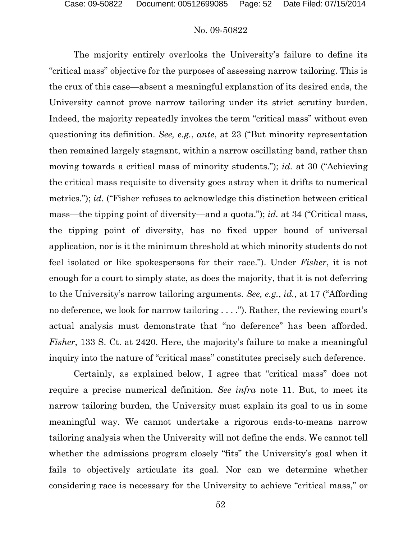The majority entirely overlooks the University's failure to define its "critical mass" objective for the purposes of assessing narrow tailoring. This is the crux of this case—absent a meaningful explanation of its desired ends, the University cannot prove narrow tailoring under its strict scrutiny burden. Indeed, the majority repeatedly invokes the term "critical mass" without even questioning its definition. *See, e.g.*, *ante*, at 23 ("But minority representation then remained largely stagnant, within a narrow oscillating band, rather than moving towards a critical mass of minority students."); *id.* at 30 ("Achieving the critical mass requisite to diversity goes astray when it drifts to numerical metrics."); *id.* ("Fisher refuses to acknowledge this distinction between critical mass—the tipping point of diversity—and a quota."); *id.* at 34 ("Critical mass, the tipping point of diversity, has no fixed upper bound of universal application, nor is it the minimum threshold at which minority students do not feel isolated or like spokespersons for their race."). Under *Fisher*, it is not enough for a court to simply state, as does the majority, that it is not deferring to the University's narrow tailoring arguments. *See, e.g.*, *id.*, at 17 ("Affording no deference, we look for narrow tailoring . . . ."). Rather, the reviewing court's actual analysis must demonstrate that "no deference" has been afforded. *Fisher*, 133 S. Ct. at 2420. Here, the majority's failure to make a meaningful inquiry into the nature of "critical mass" constitutes precisely such deference.

Certainly, as explained below, I agree that "critical mass" does not require a precise numerical definition. *See infra* note 11. But, to meet its narrow tailoring burden, the University must explain its goal to us in some meaningful way. We cannot undertake a rigorous ends-to-means narrow tailoring analysis when the University will not define the ends. We cannot tell whether the admissions program closely "fits" the University's goal when it fails to objectively articulate its goal. Nor can we determine whether considering race is necessary for the University to achieve "critical mass," or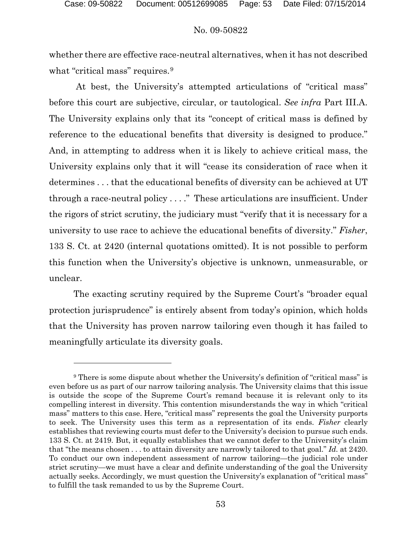$\overline{a}$ 

#### No. 09-50822

whether there are effective race-neutral alternatives, when it has not described what "critical mass" requires.<sup>[9](#page-52-0)</sup>

At best, the University's attempted articulations of "critical mass" before this court are subjective, circular, or tautological. *See infra* Part III.A. The University explains only that its "concept of critical mass is defined by reference to the educational benefits that diversity is designed to produce." And, in attempting to address when it is likely to achieve critical mass, the University explains only that it will "cease its consideration of race when it determines . . . that the educational benefits of diversity can be achieved at UT through a race-neutral policy . . . ." These articulations are insufficient. Under the rigors of strict scrutiny, the judiciary must "verify that it is necessary for a university to use race to achieve the educational benefits of diversity." *Fisher*, 133 S. Ct. at 2420 (internal quotations omitted). It is not possible to perform this function when the University's objective is unknown, unmeasurable, or unclear.

The exacting scrutiny required by the Supreme Court's "broader equal protection jurisprudence" is entirely absent from today's opinion, which holds that the University has proven narrow tailoring even though it has failed to meaningfully articulate its diversity goals.

<span id="page-52-0"></span><sup>&</sup>lt;sup>9</sup> There is some dispute about whether the University's definition of "critical mass" is even before us as part of our narrow tailoring analysis. The University claims that this issue is outside the scope of the Supreme Court's remand because it is relevant only to its compelling interest in diversity. This contention misunderstands the way in which "critical mass" matters to this case. Here, "critical mass" represents the goal the University purports to seek. The University uses this term as a representation of its ends. *Fisher* clearly establishes that reviewing courts must defer to the University's decision to pursue such ends. 133 S. Ct. at 2419. But, it equally establishes that we cannot defer to the University's claim that "the means chosen . . . to attain diversity are narrowly tailored to that goal." *Id.* at 2420. To conduct our own independent assessment of narrow tailoring—the judicial role under strict scrutiny—we must have a clear and definite understanding of the goal the University actually seeks. Accordingly, we must question the University's explanation of "critical mass" to fulfill the task remanded to us by the Supreme Court.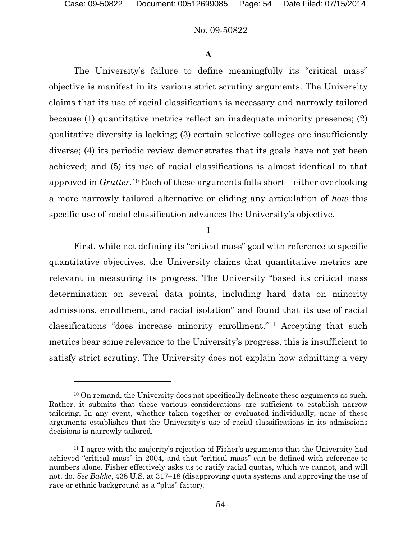$\overline{a}$ 

### No. 09-50822

#### **A**

The University's failure to define meaningfully its "critical mass" objective is manifest in its various strict scrutiny arguments. The University claims that its use of racial classifications is necessary and narrowly tailored because (1) quantitative metrics reflect an inadequate minority presence; (2) qualitative diversity is lacking; (3) certain selective colleges are insufficiently diverse; (4) its periodic review demonstrates that its goals have not yet been achieved; and (5) its use of racial classifications is almost identical to that approved in *Grutter*.[10](#page-53-0) Each of these arguments falls short—either overlooking a more narrowly tailored alternative or eliding any articulation of *how* this specific use of racial classification advances the University's objective.

**1**

First, while not defining its "critical mass" goal with reference to specific quantitative objectives, the University claims that quantitative metrics are relevant in measuring its progress. The University "based its critical mass determination on several data points, including hard data on minority admissions, enrollment, and racial isolation" and found that its use of racial classifications "does increase minority enrollment."[11](#page-53-1) Accepting that such metrics bear some relevance to the University's progress, this is insufficient to satisfy strict scrutiny. The University does not explain how admitting a very

<span id="page-53-0"></span><sup>&</sup>lt;sup>10</sup> On remand, the University does not specifically delineate these arguments as such. Rather, it submits that these various considerations are sufficient to establish narrow tailoring. In any event, whether taken together or evaluated individually, none of these arguments establishes that the University's use of racial classifications in its admissions decisions is narrowly tailored.

<span id="page-53-1"></span><sup>&</sup>lt;sup>11</sup> I agree with the majority's rejection of Fisher's arguments that the University had achieved "critical mass" in 2004, and that "critical mass" can be defined with reference to numbers alone. Fisher effectively asks us to ratify racial quotas, which we cannot, and will not, do. *See Bakke*, 438 U.S. at 317–18 (disapproving quota systems and approving the use of race or ethnic background as a "plus" factor).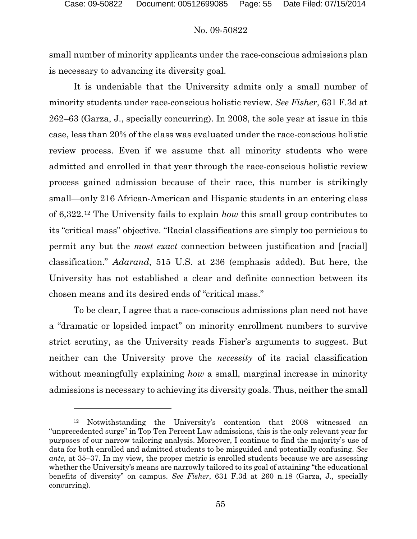# No. 09-50822

small number of minority applicants under the race-conscious admissions plan is necessary to advancing its diversity goal.

It is undeniable that the University admits only a small number of minority students under race-conscious holistic review. *See Fisher*, 631 F.3d at 262–63 (Garza, J., specially concurring). In 2008, the sole year at issue in this case, less than 20% of the class was evaluated under the race-conscious holistic review process. Even if we assume that all minority students who were admitted and enrolled in that year through the race-conscious holistic review process gained admission because of their race, this number is strikingly small—only 216 African-American and Hispanic students in an entering class of 6,322.[12](#page-54-0) The University fails to explain *how* this small group contributes to its "critical mass" objective. "Racial classifications are simply too pernicious to permit any but the *most exact* connection between justification and [racial] classification." *Adarand*, 515 U.S. at 236 (emphasis added). But here, the University has not established a clear and definite connection between its chosen means and its desired ends of "critical mass."

To be clear, I agree that a race-conscious admissions plan need not have a "dramatic or lopsided impact" on minority enrollment numbers to survive strict scrutiny, as the University reads Fisher's arguments to suggest. But neither can the University prove the *necessity* of its racial classification without meaningfully explaining *how* a small, marginal increase in minority admissions is necessary to achieving its diversity goals. Thus, neither the small

<span id="page-54-0"></span><sup>12</sup> Notwithstanding the University's contention that 2008 witnessed an "unprecedented surge" in Top Ten Percent Law admissions, this is the only relevant year for purposes of our narrow tailoring analysis. Moreover, I continue to find the majority's use of data for both enrolled and admitted students to be misguided and potentially confusing. *See ante*, at 35–37. In my view, the proper metric is enrolled students because we are assessing whether the University's means are narrowly tailored to its goal of attaining "the educational benefits of diversity" on campus. *See Fisher*, 631 F.3d at 260 n.18 (Garza, J., specially concurring).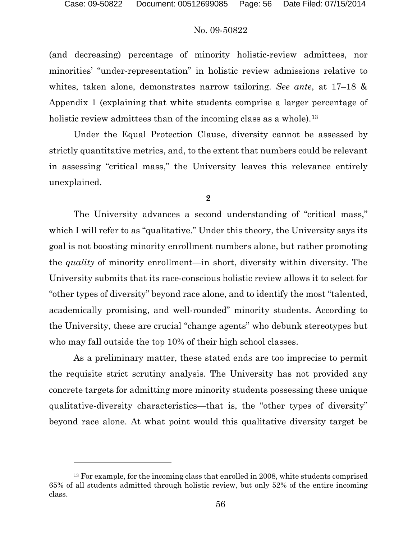$\overline{a}$ 

### No. 09-50822

(and decreasing) percentage of minority holistic-review admittees, nor minorities' "under-representation" in holistic review admissions relative to whites, taken alone, demonstrates narrow tailoring. *See ante*, at 17–18 & Appendix 1 (explaining that white students comprise a larger percentage of holistic review admittees than of the incoming class as a whole).<sup>[13](#page-55-0)</sup>

Under the Equal Protection Clause, diversity cannot be assessed by strictly quantitative metrics, and, to the extent that numbers could be relevant in assessing "critical mass," the University leaves this relevance entirely unexplained.

#### **2**

The University advances a second understanding of "critical mass," which I will refer to as "qualitative." Under this theory, the University says its goal is not boosting minority enrollment numbers alone, but rather promoting the *quality* of minority enrollment—in short, diversity within diversity. The University submits that its race-conscious holistic review allows it to select for "other types of diversity" beyond race alone, and to identify the most "talented, academically promising, and well-rounded" minority students. According to the University, these are crucial "change agents" who debunk stereotypes but who may fall outside the top 10% of their high school classes.

As a preliminary matter, these stated ends are too imprecise to permit the requisite strict scrutiny analysis. The University has not provided any concrete targets for admitting more minority students possessing these unique qualitative-diversity characteristics—that is, the "other types of diversity" beyond race alone. At what point would this qualitative diversity target be

<span id="page-55-0"></span><sup>&</sup>lt;sup>13</sup> For example, for the incoming class that enrolled in 2008, white students comprised 65% of all students admitted through holistic review, but only 52% of the entire incoming class.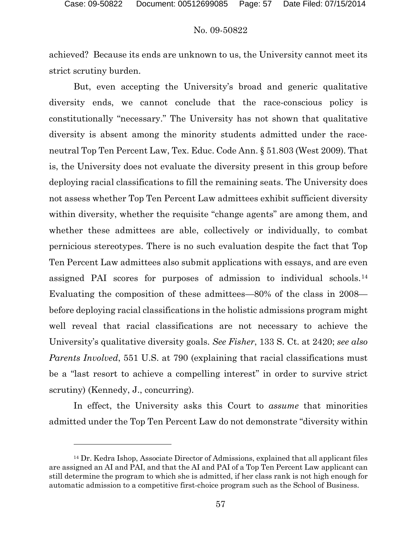#### No. 09-50822

achieved? Because its ends are unknown to us, the University cannot meet its strict scrutiny burden.

But, even accepting the University's broad and generic qualitative diversity ends, we cannot conclude that the race-conscious policy is constitutionally "necessary." The University has not shown that qualitative diversity is absent among the minority students admitted under the raceneutral Top Ten Percent Law, Tex. Educ. Code Ann. § 51.803 (West 2009). That is, the University does not evaluate the diversity present in this group before deploying racial classifications to fill the remaining seats. The University does not assess whether Top Ten Percent Law admittees exhibit sufficient diversity within diversity, whether the requisite "change agents" are among them, and whether these admittees are able, collectively or individually, to combat pernicious stereotypes. There is no such evaluation despite the fact that Top Ten Percent Law admittees also submit applications with essays, and are even assigned PAI scores for purposes of admission to individual schools.[14](#page-56-0) Evaluating the composition of these admittees—80% of the class in 2008 before deploying racial classifications in the holistic admissions program might well reveal that racial classifications are not necessary to achieve the University's qualitative diversity goals. *See Fisher*, 133 S. Ct. at 2420; *see also Parents Involved*, 551 U.S. at 790 (explaining that racial classifications must be a "last resort to achieve a compelling interest" in order to survive strict scrutiny) (Kennedy, J., concurring).

In effect, the University asks this Court to *assume* that minorities admitted under the Top Ten Percent Law do not demonstrate "diversity within

<span id="page-56-0"></span><sup>14</sup> Dr. Kedra Ishop, Associate Director of Admissions, explained that all applicant files are assigned an AI and PAI, and that the AI and PAI of a Top Ten Percent Law applicant can still determine the program to which she is admitted, if her class rank is not high enough for automatic admission to a competitive first-choice program such as the School of Business.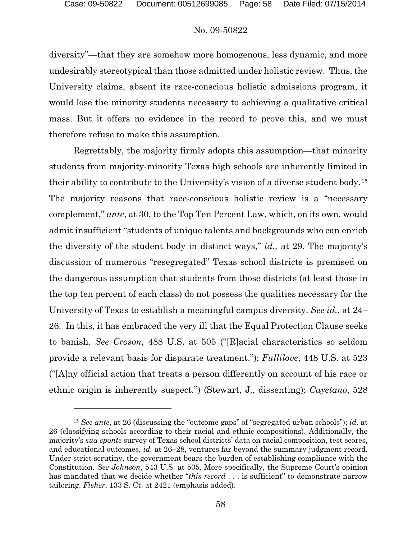# No. 09-50822

diversity"—that they are somehow more homogenous, less dynamic, and more undesirably stereotypical than those admitted under holistic review. Thus, the University claims, absent its race-conscious holistic admissions program, it would lose the minority students necessary to achieving a qualitative critical mass. But it offers no evidence in the record to prove this, and we must therefore refuse to make this assumption.

Regrettably, the majority firmly adopts this assumption—that minority students from majority-minority Texas high schools are inherently limited in their ability to contribute to the University's vision of a diverse student body.[15](#page-57-0) The majority reasons that race-conscious holistic review is a "necessary complement," *ante*, at 30, to the Top Ten Percent Law, which, on its own, would admit insufficient "students of unique talents and backgrounds who can enrich the diversity of the student body in distinct ways," *id.,* at 29. The majority's discussion of numerous "resegregated" Texas school districts is premised on the dangerous assumption that students from those districts (at least those in the top ten percent of each class) do not possess the qualities necessary for the University of Texas to establish a meaningful campus diversity. *See id.*, at 24– 26. In this, it has embraced the very ill that the Equal Protection Clause seeks to banish. *See Croson*, 488 U.S. at 505 ("[R]acial characteristics so seldom provide a relevant basis for disparate treatment."); *Fullilove*, 448 U.S. at 523 ("[A]ny official action that treats a person differently on account of his race or ethnic origin is inherently suspect.") (Stewart, J., dissenting); *Cayetano*, 528

<span id="page-57-0"></span><sup>15</sup> *See ante*, at 26 (discussing the "outcome gaps" of "segregated urban schools"); *id*. at 26 (classifying schools according to their racial and ethnic compositions). Additionally, the majority's *sua sponte* survey of Texas school districts' data on racial composition, test scores, and educational outcomes, *id.* at 26–28, ventures far beyond the summary judgment record. Under strict scrutiny, the government bears the burden of establishing compliance with the Constitution. *See Johnson*, 543 U.S. at 505. More specifically, the Supreme Court's opinion has mandated that we decide whether "*this record* . . . is sufficient" to demonstrate narrow tailoring. *Fisher*, 133 S. Ct. at 2421 (emphasis added).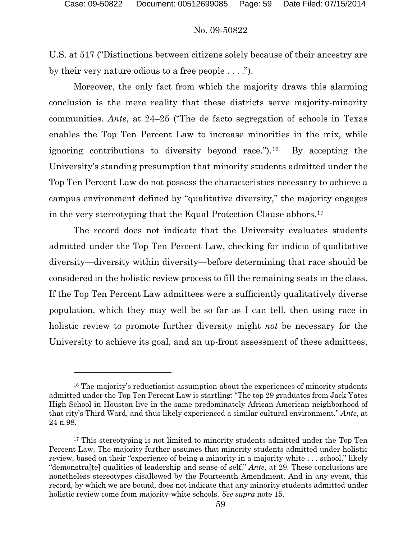#### No. 09-50822

U.S. at 517 ("Distinctions between citizens solely because of their ancestry are by their very nature odious to a free people . . . .").

Moreover, the only fact from which the majority draws this alarming conclusion is the mere reality that these districts serve majority-minority communities. *Ante*, at 24–25 ("The de facto segregation of schools in Texas enables the Top Ten Percent Law to increase minorities in the mix, while ignoring contributions to diversity beyond race.").[16](#page-58-0) By accepting the University's standing presumption that minority students admitted under the Top Ten Percent Law do not possess the characteristics necessary to achieve a campus environment defined by "qualitative diversity," the majority engages in the very stereotyping that the Equal Protection Clause abhors.[17](#page-58-1)

The record does not indicate that the University evaluates students admitted under the Top Ten Percent Law, checking for indicia of qualitative diversity—diversity within diversity—before determining that race should be considered in the holistic review process to fill the remaining seats in the class. If the Top Ten Percent Law admittees were a sufficiently qualitatively diverse population, which they may well be so far as I can tell, then using race in holistic review to promote further diversity might *not* be necessary for the University to achieve its goal, and an up-front assessment of these admittees,

<span id="page-58-0"></span><sup>&</sup>lt;sup>16</sup> The majority's reductionist assumption about the experiences of minority students admitted under the Top Ten Percent Law is startling: "The top 29 graduates from Jack Yates High School in Houston live in the same predominately African-American neighborhood of that city's Third Ward, and thus likely experienced a similar cultural environment." *Ante*, at 24 n.98.

<span id="page-58-1"></span><sup>&</sup>lt;sup>17</sup> This stereotyping is not limited to minority students admitted under the Top Ten Percent Law. The majority further assumes that minority students admitted under holistic review, based on their "experience of being a minority in a majority-white . . . school," likely "demonstra[te] qualities of leadership and sense of self." *Ante*, at 29. These conclusions are nonetheless stereotypes disallowed by the Fourteenth Amendment. And in any event, this record, by which we are bound, does not indicate that any minority students admitted under holistic review come from majority-white schools. *See supra* note 15.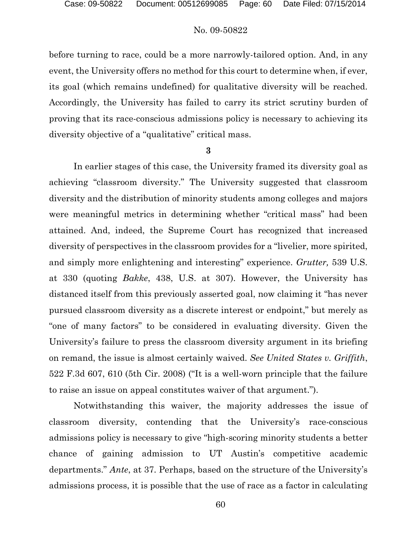before turning to race, could be a more narrowly-tailored option. And, in any event, the University offers no method for this court to determine when, if ever, its goal (which remains undefined) for qualitative diversity will be reached. Accordingly, the University has failed to carry its strict scrutiny burden of proving that its race-conscious admissions policy is necessary to achieving its diversity objective of a "qualitative" critical mass.

### **3**

In earlier stages of this case, the University framed its diversity goal as achieving "classroom diversity." The University suggested that classroom diversity and the distribution of minority students among colleges and majors were meaningful metrics in determining whether "critical mass" had been attained. And, indeed, the Supreme Court has recognized that increased diversity of perspectives in the classroom provides for a "livelier, more spirited, and simply more enlightening and interesting" experience. *Grutter,* 539 U.S. at 330 (quoting *Bakke*, 438, U.S. at 307). However, the University has distanced itself from this previously asserted goal, now claiming it "has never pursued classroom diversity as a discrete interest or endpoint," but merely as "one of many factors" to be considered in evaluating diversity. Given the University's failure to press the classroom diversity argument in its briefing on remand, the issue is almost certainly waived. *See United States v. Griffith*, 522 F.3d 607, 610 (5th Cir. 2008) ("It is a well-worn principle that the failure to raise an issue on appeal constitutes waiver of that argument.").

Notwithstanding this waiver, the majority addresses the issue of classroom diversity, contending that the University's race-conscious admissions policy is necessary to give "high-scoring minority students a better chance of gaining admission to UT Austin's competitive academic departments." *Ante*, at 37. Perhaps, based on the structure of the University's admissions process, it is possible that the use of race as a factor in calculating

60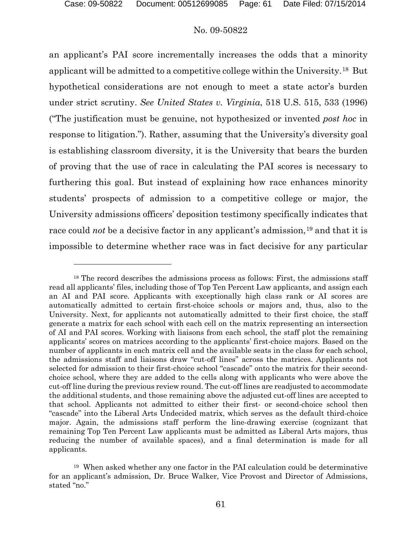$\overline{a}$ 

#### No. 09-50822

an applicant's PAI score incrementally increases the odds that a minority applicant will be admitted to a competitive college within the University.[18](#page-60-0) But hypothetical considerations are not enough to meet a state actor's burden under strict scrutiny. *See United States v. Virginia*, 518 U.S. 515, 533 (1996) ("The justification must be genuine, not hypothesized or invented *post hoc* in response to litigation."). Rather, assuming that the University's diversity goal is establishing classroom diversity, it is the University that bears the burden of proving that the use of race in calculating the PAI scores is necessary to furthering this goal. But instead of explaining how race enhances minority students' prospects of admission to a competitive college or major, the University admissions officers' deposition testimony specifically indicates that race could *not* be a decisive factor in any applicant's admission,<sup>[19](#page-60-1)</sup> and that it is impossible to determine whether race was in fact decisive for any particular

<span id="page-60-0"></span><sup>&</sup>lt;sup>18</sup> The record describes the admissions process as follows: First, the admissions staff read all applicants' files, including those of Top Ten Percent Law applicants, and assign each an AI and PAI score. Applicants with exceptionally high class rank or AI scores are automatically admitted to certain first-choice schools or majors and, thus, also to the University. Next, for applicants not automatically admitted to their first choice, the staff generate a matrix for each school with each cell on the matrix representing an intersection of AI and PAI scores. Working with liaisons from each school, the staff plot the remaining applicants' scores on matrices according to the applicants' first-choice majors. Based on the number of applicants in each matrix cell and the available seats in the class for each school, the admissions staff and liaisons draw "cut-off lines" across the matrices. Applicants not selected for admission to their first-choice school "cascade" onto the matrix for their secondchoice school, where they are added to the cells along with applicants who were above the cut-off line during the previous review round. The cut-off lines are readjusted to accommodate the additional students, and those remaining above the adjusted cut-off lines are accepted to that school. Applicants not admitted to either their first- or second-choice school then "cascade" into the Liberal Arts Undecided matrix, which serves as the default third-choice major. Again, the admissions staff perform the line-drawing exercise (cognizant that remaining Top Ten Percent Law applicants must be admitted as Liberal Arts majors, thus reducing the number of available spaces), and a final determination is made for all applicants.

<span id="page-60-1"></span><sup>19</sup> When asked whether any one factor in the PAI calculation could be determinative for an applicant's admission, Dr. Bruce Walker, Vice Provost and Director of Admissions, stated "no."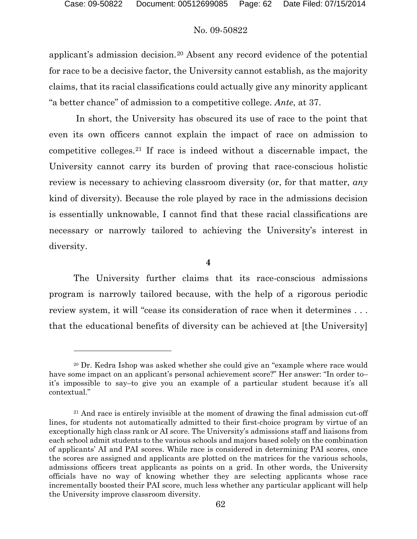$\overline{a}$ 

# No. 09-50822

applicant's admission decision.[20](#page-61-0) Absent any record evidence of the potential for race to be a decisive factor, the University cannot establish, as the majority claims, that its racial classifications could actually give any minority applicant "a better chance" of admission to a competitive college. *Ante*, at 37.

In short, the University has obscured its use of race to the point that even its own officers cannot explain the impact of race on admission to competitive colleges.[21](#page-61-1) If race is indeed without a discernable impact, the University cannot carry its burden of proving that race-conscious holistic review is necessary to achieving classroom diversity (or, for that matter, *any* kind of diversity). Because the role played by race in the admissions decision is essentially unknowable, I cannot find that these racial classifications are necessary or narrowly tailored to achieving the University's interest in diversity.

**4**

The University further claims that its race-conscious admissions program is narrowly tailored because, with the help of a rigorous periodic review system, it will "cease its consideration of race when it determines . . . that the educational benefits of diversity can be achieved at [the University]

<span id="page-61-0"></span><sup>20</sup> Dr. Kedra Ishop was asked whether she could give an "example where race would have some impact on an applicant's personal achievement score?" Her answer: "In order to– it's impossible to say–to give you an example of a particular student because it's all contextual."

<span id="page-61-1"></span><sup>&</sup>lt;sup>21</sup> And race is entirely invisible at the moment of drawing the final admission cut-off lines, for students not automatically admitted to their first-choice program by virtue of an exceptionally high class rank or AI score. The University's admissions staff and liaisons from each school admit students to the various schools and majors based solely on the combination of applicants' AI and PAI scores. While race is considered in determining PAI scores, once the scores are assigned and applicants are plotted on the matrices for the various schools, admissions officers treat applicants as points on a grid. In other words, the University officials have no way of knowing whether they are selecting applicants whose race incrementally boosted their PAI score, much less whether any particular applicant will help the University improve classroom diversity.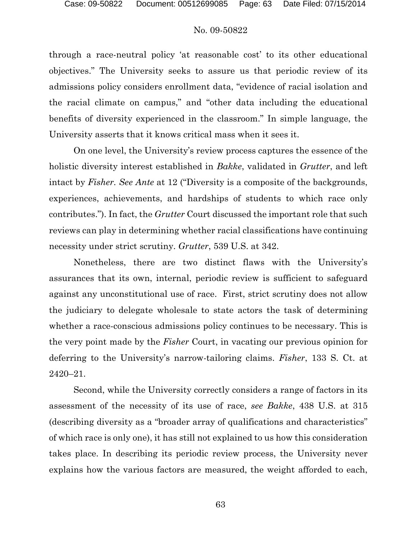through a race-neutral policy 'at reasonable cost' to its other educational objectives." The University seeks to assure us that periodic review of its admissions policy considers enrollment data, "evidence of racial isolation and the racial climate on campus," and "other data including the educational benefits of diversity experienced in the classroom." In simple language, the University asserts that it knows critical mass when it sees it.

On one level, the University's review process captures the essence of the holistic diversity interest established in *Bakke*, validated in *Grutter*, and left intact by *Fisher. See Ante* at 12 ("Diversity is a composite of the backgrounds, experiences, achievements, and hardships of students to which race only contributes."). In fact, the *Grutter* Court discussed the important role that such reviews can play in determining whether racial classifications have continuing necessity under strict scrutiny. *Grutter*, 539 U.S. at 342.

Nonetheless, there are two distinct flaws with the University's assurances that its own, internal, periodic review is sufficient to safeguard against any unconstitutional use of race. First, strict scrutiny does not allow the judiciary to delegate wholesale to state actors the task of determining whether a race-conscious admissions policy continues to be necessary. This is the very point made by the *Fisher* Court, in vacating our previous opinion for deferring to the University's narrow-tailoring claims. *Fisher*, 133 S. Ct. at 2420–21.

Second, while the University correctly considers a range of factors in its assessment of the necessity of its use of race, *see Bakke*, 438 U.S. at 315 (describing diversity as a "broader array of qualifications and characteristics" of which race is only one), it has still not explained to us how this consideration takes place. In describing its periodic review process, the University never explains how the various factors are measured, the weight afforded to each,

63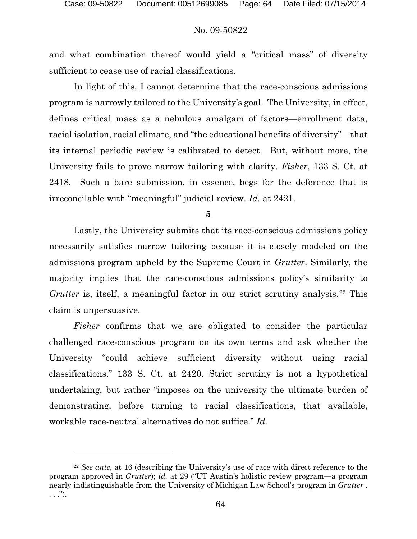$\overline{a}$ 

#### No. 09-50822

and what combination thereof would yield a "critical mass" of diversity sufficient to cease use of racial classifications.

In light of this, I cannot determine that the race-conscious admissions program is narrowly tailored to the University's goal. The University, in effect, defines critical mass as a nebulous amalgam of factors—enrollment data, racial isolation, racial climate, and "the educational benefits of diversity"—that its internal periodic review is calibrated to detect. But, without more, the University fails to prove narrow tailoring with clarity. *Fisher*, 133 S. Ct. at 2418. Such a bare submission, in essence, begs for the deference that is irreconcilable with "meaningful" judicial review. *Id.* at 2421.

**5**

Lastly, the University submits that its race-conscious admissions policy necessarily satisfies narrow tailoring because it is closely modeled on the admissions program upheld by the Supreme Court in *Grutter*. Similarly, the majority implies that the race-conscious admissions policy's similarity to *Grutter* is, itself, a meaningful factor in our strict scrutiny analysis.<sup>[22](#page-63-0)</sup> This claim is unpersuasive.

*Fisher* confirms that we are obligated to consider the particular challenged race-conscious program on its own terms and ask whether the University "could achieve sufficient diversity without using racial classifications." 133 S. Ct. at 2420. Strict scrutiny is not a hypothetical undertaking, but rather "imposes on the university the ultimate burden of demonstrating, before turning to racial classifications, that available, workable race-neutral alternatives do not suffice." *Id.* 

<span id="page-63-0"></span><sup>22</sup> *See ante*, at 16 (describing the University's use of race with direct reference to the program approved in *Grutter*); *id.* at 29 ("UT Austin's holistic review program—a program nearly indistinguishable from the University of Michigan Law School's program in *Grutter* .  $\ldots$ ").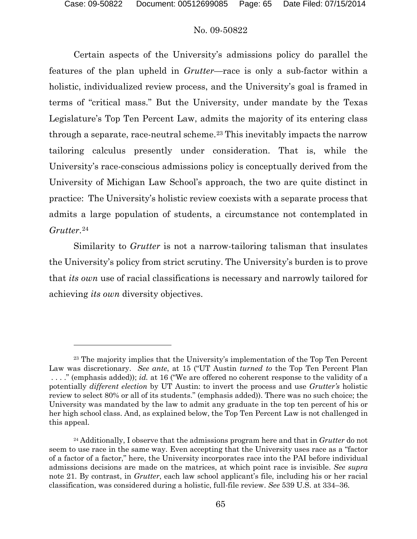#### No. 09-50822

Certain aspects of the University's admissions policy do parallel the features of the plan upheld in *Grutter*—race is only a sub-factor within a holistic, individualized review process, and the University's goal is framed in terms of "critical mass." But the University, under mandate by the Texas Legislature's Top Ten Percent Law, admits the majority of its entering class through a separate, race-neutral scheme.[23](#page-64-0) This inevitably impacts the narrow tailoring calculus presently under consideration. That is, while the University's race-conscious admissions policy is conceptually derived from the University of Michigan Law School's approach, the two are quite distinct in practice: The University's holistic review coexists with a separate process that admits a large population of students, a circumstance not contemplated in *Grutter*.[24](#page-64-1)

Similarity to *Grutter* is not a narrow-tailoring talisman that insulates the University's policy from strict scrutiny. The University's burden is to prove that *its own* use of racial classifications is necessary and narrowly tailored for achieving *its own* diversity objectives.

<span id="page-64-0"></span><sup>23</sup> The majority implies that the University's implementation of the Top Ten Percent Law was discretionary. *See ante*, at 15 ("UT Austin *turned to* the Top Ten Percent Plan . . . ." (emphasis added)); *id.* at 16 ("We are offered no coherent response to the validity of a potentially *different election* by UT Austin: to invert the process and use *Grutter's* holistic review to select 80% or all of its students." (emphasis added)). There was no such choice; the University was mandated by the law to admit any graduate in the top ten percent of his or her high school class. And, as explained below, the Top Ten Percent Law is not challenged in this appeal.

<span id="page-64-1"></span><sup>24</sup> Additionally, I observe that the admissions program here and that in *Grutter* do not seem to use race in the same way. Even accepting that the University uses race as a "factor of a factor of a factor," here, the University incorporates race into the PAI before individual admissions decisions are made on the matrices, at which point race is invisible. *See supra* note 21. By contrast, in *Grutter*, each law school applicant's file, including his or her racial classification, was considered during a holistic, full-file review. *See* 539 U.S. at 334–36.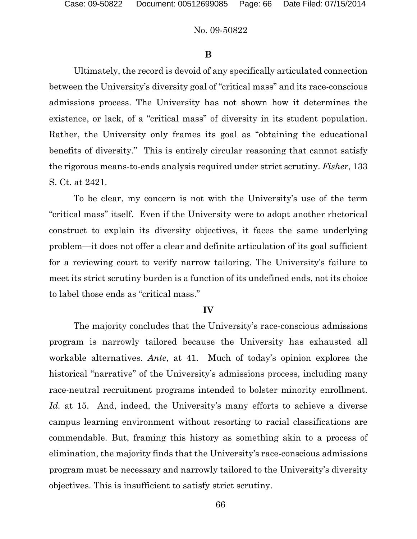#### **B**

Ultimately, the record is devoid of any specifically articulated connection between the University's diversity goal of "critical mass" and its race-conscious admissions process. The University has not shown how it determines the existence, or lack, of a "critical mass" of diversity in its student population. Rather, the University only frames its goal as "obtaining the educational benefits of diversity." This is entirely circular reasoning that cannot satisfy the rigorous means-to-ends analysis required under strict scrutiny. *Fisher*, 133 S. Ct. at 2421.

To be clear, my concern is not with the University's use of the term "critical mass" itself. Even if the University were to adopt another rhetorical construct to explain its diversity objectives, it faces the same underlying problem—it does not offer a clear and definite articulation of its goal sufficient for a reviewing court to verify narrow tailoring. The University's failure to meet its strict scrutiny burden is a function of its undefined ends, not its choice to label those ends as "critical mass."

#### **IV**

The majority concludes that the University's race-conscious admissions program is narrowly tailored because the University has exhausted all workable alternatives. *Ante*, at 41. Much of today's opinion explores the historical "narrative" of the University's admissions process, including many race-neutral recruitment programs intended to bolster minority enrollment. *Id.* at 15. And, indeed, the University's many efforts to achieve a diverse campus learning environment without resorting to racial classifications are commendable. But, framing this history as something akin to a process of elimination, the majority finds that the University's race-conscious admissions program must be necessary and narrowly tailored to the University's diversity objectives. This is insufficient to satisfy strict scrutiny.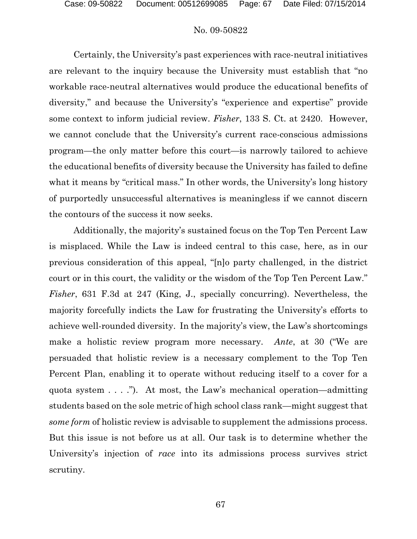Certainly, the University's past experiences with race-neutral initiatives are relevant to the inquiry because the University must establish that "no workable race-neutral alternatives would produce the educational benefits of diversity," and because the University's "experience and expertise" provide some context to inform judicial review. *Fisher*, 133 S. Ct. at 2420. However, we cannot conclude that the University's current race-conscious admissions program—the only matter before this court—is narrowly tailored to achieve the educational benefits of diversity because the University has failed to define what it means by "critical mass." In other words, the University's long history of purportedly unsuccessful alternatives is meaningless if we cannot discern the contours of the success it now seeks.

Additionally, the majority's sustained focus on the Top Ten Percent Law is misplaced. While the Law is indeed central to this case, here, as in our previous consideration of this appeal, "[n]o party challenged, in the district court or in this court, the validity or the wisdom of the Top Ten Percent Law." *Fisher*, 631 F.3d at 247 (King, J., specially concurring). Nevertheless, the majority forcefully indicts the Law for frustrating the University's efforts to achieve well-rounded diversity. In the majority's view, the Law's shortcomings make a holistic review program more necessary. *Ante*, at 30 ("We are persuaded that holistic review is a necessary complement to the Top Ten Percent Plan, enabling it to operate without reducing itself to a cover for a quota system  $\dots$  ."). At most, the Law's mechanical operation—admitting students based on the sole metric of high school class rank—might suggest that *some form* of holistic review is advisable to supplement the admissions process. But this issue is not before us at all. Our task is to determine whether the University's injection of *race* into its admissions process survives strict scrutiny.

67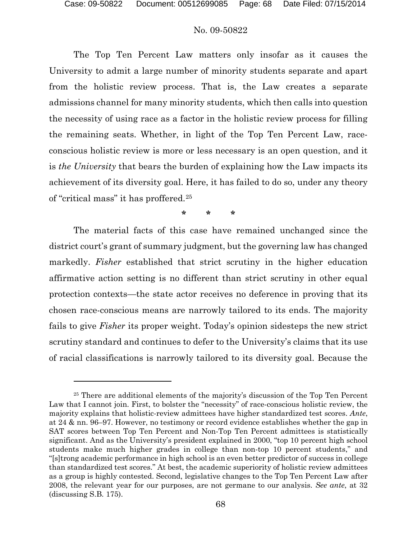$\overline{a}$ 

#### No. 09-50822

The Top Ten Percent Law matters only insofar as it causes the University to admit a large number of minority students separate and apart from the holistic review process. That is, the Law creates a separate admissions channel for many minority students, which then calls into question the necessity of using race as a factor in the holistic review process for filling the remaining seats. Whether, in light of the Top Ten Percent Law, raceconscious holistic review is more or less necessary is an open question, and it is *the University* that bears the burden of explaining how the Law impacts its achievement of its diversity goal. Here, it has failed to do so, under any theory of "critical mass" it has proffered.[25](#page-67-0)

# **\* \* \***

The material facts of this case have remained unchanged since the district court's grant of summary judgment, but the governing law has changed markedly. *Fisher* established that strict scrutiny in the higher education affirmative action setting is no different than strict scrutiny in other equal protection contexts—the state actor receives no deference in proving that its chosen race-conscious means are narrowly tailored to its ends. The majority fails to give *Fisher* its proper weight. Today's opinion sidesteps the new strict scrutiny standard and continues to defer to the University's claims that its use of racial classifications is narrowly tailored to its diversity goal. Because the

<span id="page-67-0"></span><sup>25</sup> There are additional elements of the majority's discussion of the Top Ten Percent Law that I cannot join. First, to bolster the "necessity" of race-conscious holistic review, the majority explains that holistic-review admittees have higher standardized test scores. *Ante*, at 24 & nn. 96–97. However, no testimony or record evidence establishes whether the gap in SAT scores between Top Ten Percent and Non-Top Ten Percent admittees is statistically significant. And as the University's president explained in 2000, "top 10 percent high school students make much higher grades in college than non-top 10 percent students," and "[s]trong academic performance in high school is an even better predictor of success in college than standardized test scores." At best, the academic superiority of holistic review admittees as a group is highly contested. Second, legislative changes to the Top Ten Percent Law after 2008, the relevant year for our purposes, are not germane to our analysis. *See ante*, at 32 (discussing S.B. 175).